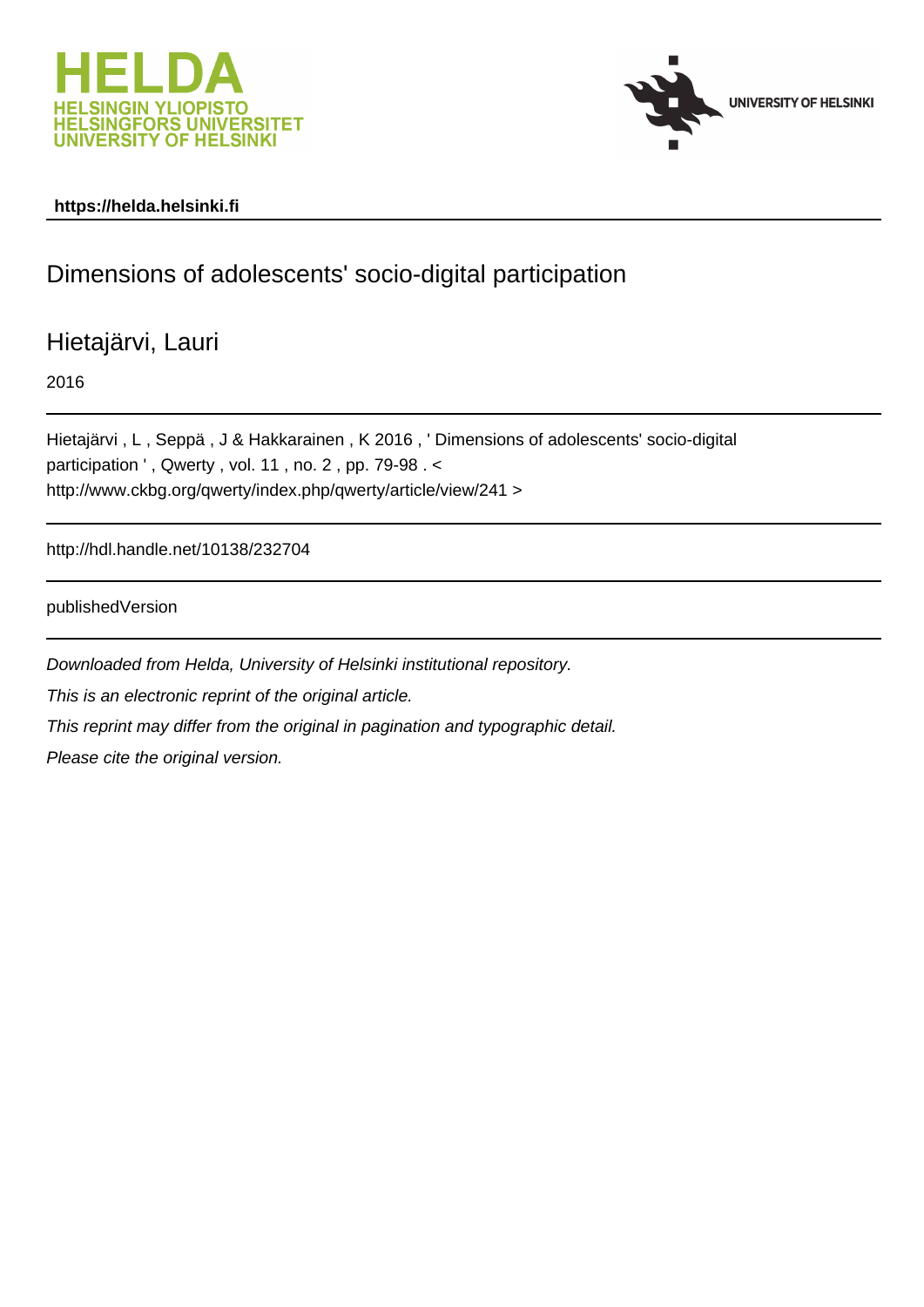



# **https://helda.helsinki.fi**

# Dimensions of adolescents' socio-digital participation

Hietajärvi, Lauri

2016

Hietajärvi , L , Seppä , J & Hakkarainen , K 2016 , ' Dimensions of adolescents' socio-digital participation ', Qwerty, vol. 11, no. 2, pp. 79-98. < http://www.ckbg.org/qwerty/index.php/qwerty/article/view/241 >

http://hdl.handle.net/10138/232704

publishedVersion

Downloaded from Helda, University of Helsinki institutional repository. This is an electronic reprint of the original article. This reprint may differ from the original in pagination and typographic detail. Please cite the original version.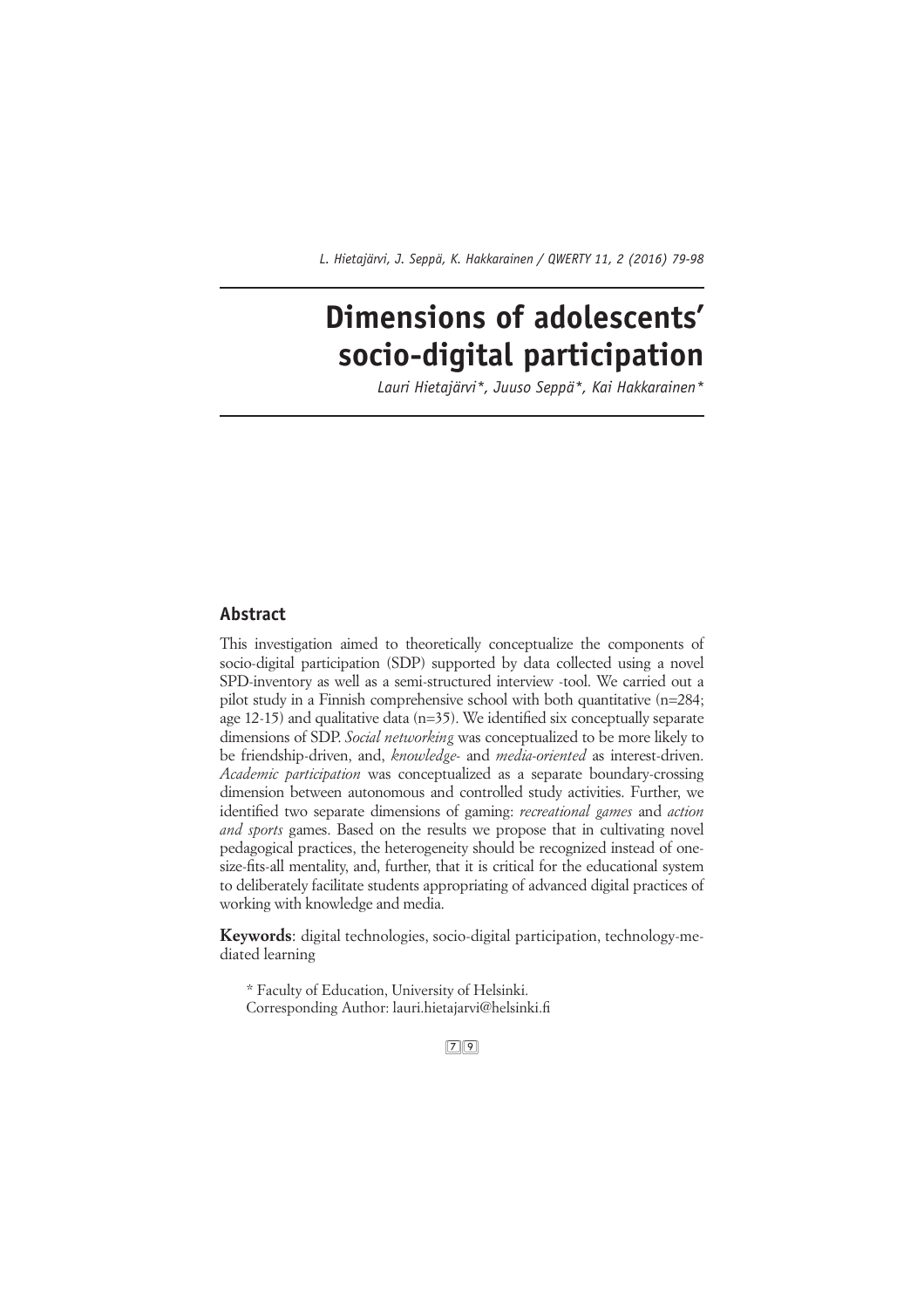# **Dimensions of adolescents' socio-digital participation**

*Lauri Hietajärvi\*, Juuso Seppä\*, Kai Hakkarainen\**

# **Abstract**

This investigation aimed to theoretically conceptualize the components of socio-digital participation (SDP) supported by data collected using a novel SPD-inventory as well as a semi-structured interview -tool. We carried out a pilot study in a Finnish comprehensive school with both quantitative (n=284; age 12-15) and qualitative data  $(n=35)$ . We identified six conceptually separate dimensions of SDP. *Social networking* was conceptualized to be more likely to be friendship-driven, and, *knowledge-* and *media-oriented* as interest-driven. *Academic participation* was conceptualized as a separate boundary-crossing dimension between autonomous and controlled study activities. Further, we identified two separate dimensions of gaming: *recreational games* and *action and sports* games. Based on the results we propose that in cultivating novel pedagogical practices, the heterogeneity should be recognized instead of onesize-fits-all mentality, and, further, that it is critical for the educational system to deliberately facilitate students appropriating of advanced digital practices of working with knowledge and media.

**Keywords**: digital technologies, socio-digital participation, technology-mediated learning

\* Faculty of Education, University of Helsinki. Corresponding Author: lauri.hietajarvi@helsinki.fi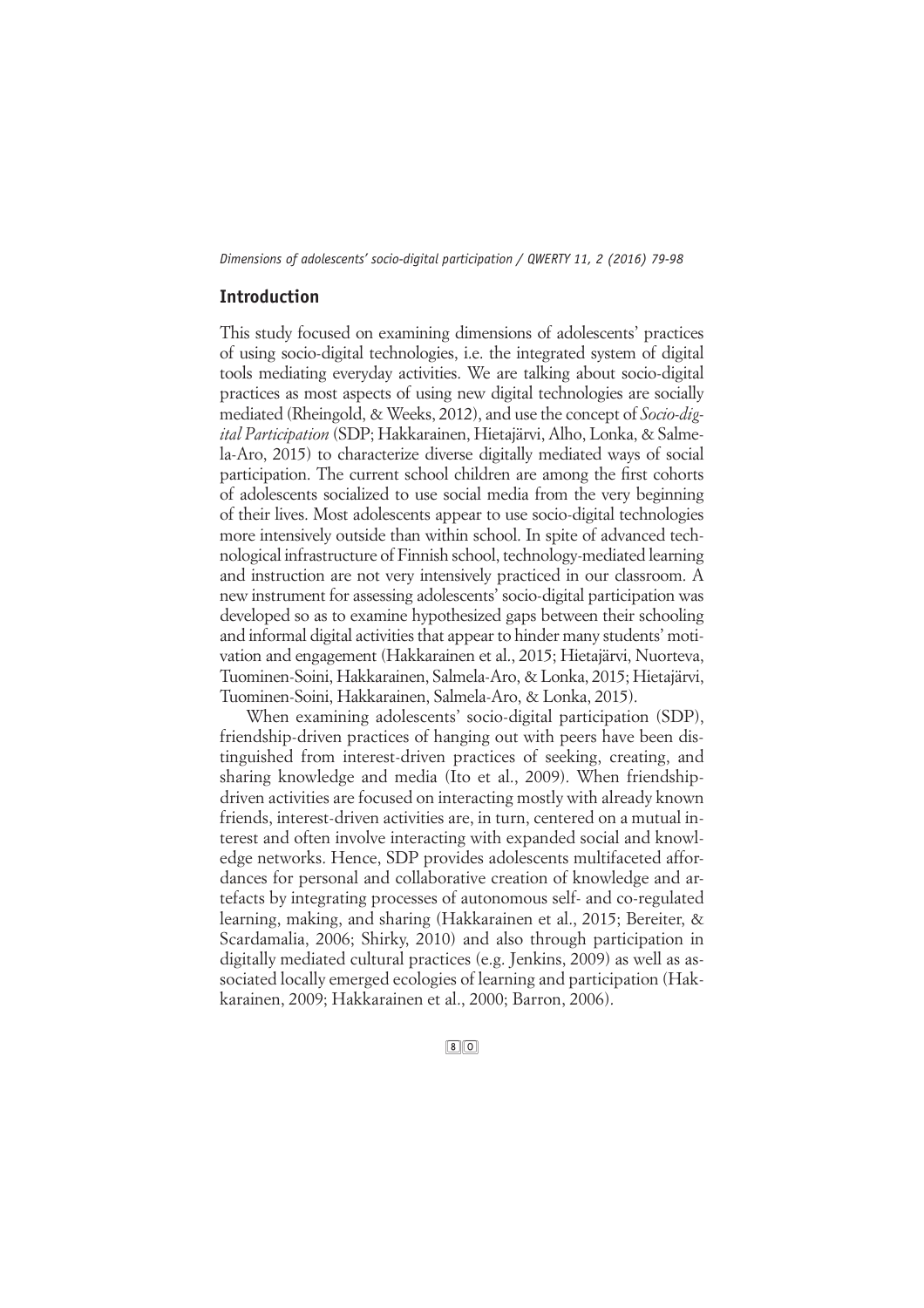# **Introduction**

This study focused on examining dimensions of adolescents' practices of using socio-digital technologies, i.e. the integrated system of digital tools mediating everyday activities. We are talking about socio-digital practices as most aspects of using new digital technologies are socially mediated (Rheingold, & Weeks, 2012), and use the concept of *Socio-digital Participation* (SDP; Hakkarainen, Hietajärvi, Alho, Lonka, & Salmela-Aro, 2015) to characterize diverse digitally mediated ways of social participation. The current school children are among the first cohorts of adolescents socialized to use social media from the very beginning of their lives. Most adolescents appear to use socio-digital technologies more intensively outside than within school. In spite of advanced technological infrastructure of Finnish school, technology-mediated learning and instruction are not very intensively practiced in our classroom. A new instrument for assessing adolescents' socio-digital participation was developed so as to examine hypothesized gaps between their schooling and informal digital activities that appear to hinder many students' motivation and engagement (Hakkarainen et al., 2015; Hietajärvi, Nuorteva, Tuominen-Soini, Hakkarainen, Salmela-Aro, & Lonka, 2015; Hietajärvi, Tuominen-Soini, Hakkarainen, Salmela-Aro, & Lonka, 2015).

When examining adolescents' socio-digital participation (SDP), friendship-driven practices of hanging out with peers have been distinguished from interest-driven practices of seeking, creating, and sharing knowledge and media (Ito et al., 2009). When friendshipdriven activities are focused on interacting mostly with already known friends, interest-driven activities are, in turn, centered on a mutual interest and often involve interacting with expanded social and knowledge networks. Hence, SDP provides adolescents multifaceted affordances for personal and collaborative creation of knowledge and artefacts by integrating processes of autonomous self- and co-regulated learning, making, and sharing (Hakkarainen et al., 2015; Bereiter, & Scardamalia, 2006; Shirky, 2010) and also through participation in digitally mediated cultural practices (e.g. Jenkins, 2009) as well as associated locally emerged ecologies of learning and participation (Hakkarainen, 2009; Hakkarainen et al., 2000; Barron, 2006).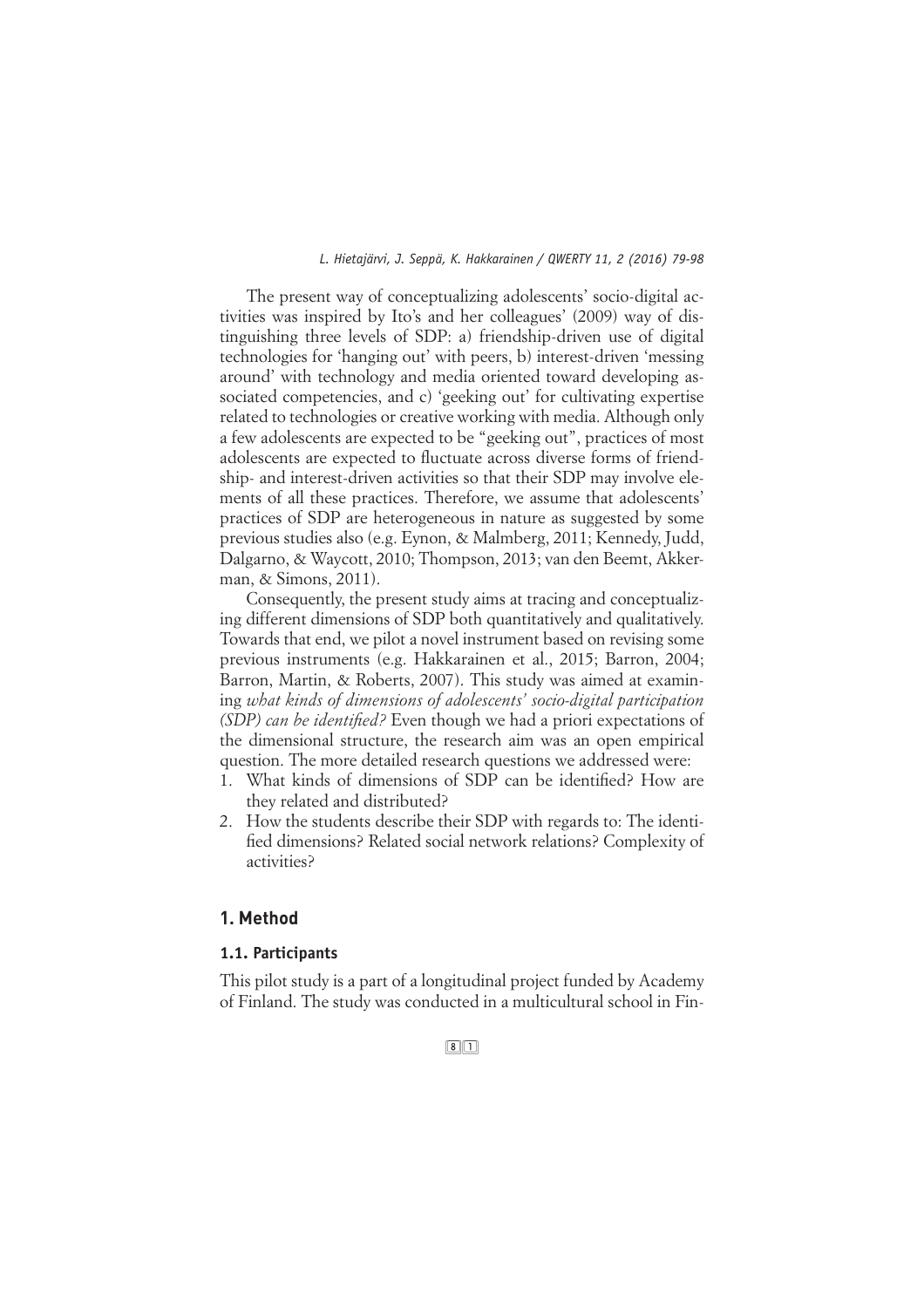The present way of conceptualizing adolescents' socio-digital activities was inspired by Ito's and her colleagues' (2009) way of distinguishing three levels of SDP: a) friendship-driven use of digital technologies for 'hanging out' with peers, b) interest-driven 'messing around' with technology and media oriented toward developing associated competencies, and c) 'geeking out' for cultivating expertise related to technologies or creative working with media. Although only a few adolescents are expected to be "geeking out", practices of most adolescents are expected to fluctuate across diverse forms of friendship- and interest-driven activities so that their SDP may involve elements of all these practices. Therefore, we assume that adolescents' practices of SDP are heterogeneous in nature as suggested by some previous studies also (e.g. Eynon, & Malmberg, 2011; Kennedy, Judd, Dalgarno, & Waycott, 2010; Thompson, 2013; van den Beemt, Akkerman, & Simons, 2011).

Consequently, the present study aims at tracing and conceptualizing different dimensions of SDP both quantitatively and qualitatively. Towards that end, we pilot a novel instrument based on revising some previous instruments (e.g. Hakkarainen et al., 2015; Barron, 2004; Barron, Martin, & Roberts, 2007). This study was aimed at examining *what kinds of dimensions of adolescents' socio-digital participation (SDP) can be identified?* Even though we had a priori expectations of the dimensional structure, the research aim was an open empirical question. The more detailed research questions we addressed were:

- What kinds of dimensions of SDP can be identified? How are they related and distributed?
- 2. How the students describe their SDP with regards to: The identified dimensions? Related social network relations? Complexity of activities?

# **1. Method**

# **1.1. Participants**

This pilot study is a part of a longitudinal project funded by Academy of Finland. The study was conducted in a multicultural school in Fin-

#### $\boxed{8}$  $\boxed{1}$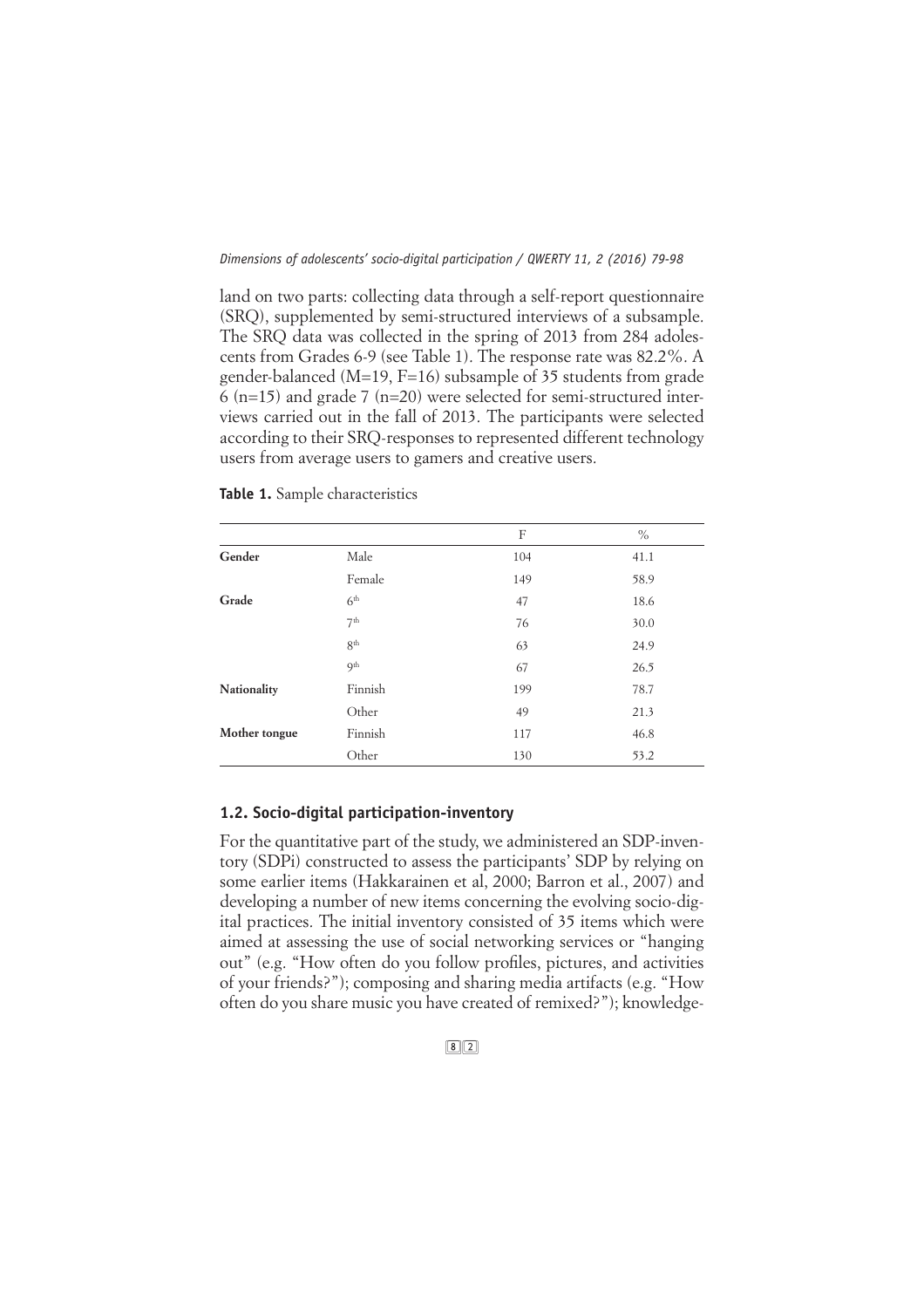land on two parts: collecting data through a self-report questionnaire (SRQ), supplemented by semi-structured interviews of a subsample. The SRQ data was collected in the spring of 2013 from 284 adolescents from Grades 6-9 (see Table 1). The response rate was 82.2%. A gender-balanced (M=19, F=16) subsample of 35 students from grade 6 (n=15) and grade 7 (n=20) were selected for semi-structured interviews carried out in the fall of 2013. The participants were selected according to their SRQ-responses to represented different technology users from average users to gamers and creative users.

|               |                 | F   | $\%$ |
|---------------|-----------------|-----|------|
| Gender        | Male            | 104 | 41.1 |
|               | Female          | 149 | 58.9 |
| Grade         | 6 <sup>th</sup> | 47  | 18.6 |
|               | 7 <sup>th</sup> | 76  | 30.0 |
|               | 8 <sup>th</sup> | 63  | 24.9 |
|               | Q <sup>th</sup> | 67  | 26.5 |
| Nationality   | Finnish         | 199 | 78.7 |
|               | Other           | 49  | 21.3 |
| Mother tongue | Finnish         | 117 | 46.8 |
|               | Other           | 130 | 53.2 |

**Table 1.** Sample characteristics

# **1.2. Socio-digital participation-inventory**

For the quantitative part of the study, we administered an SDP-inventory (SDPi) constructed to assess the participants' SDP by relying on some earlier items (Hakkarainen et al, 2000; Barron et al., 2007) and developing a number of new items concerning the evolving socio-digital practices. The initial inventory consisted of 35 items which were aimed at assessing the use of social networking services or "hanging out" (e.g. "How often do you follow profiles, pictures, and activities of your friends?"); composing and sharing media artifacts (e.g. "How often do you share music you have created of remixed?"); knowledge-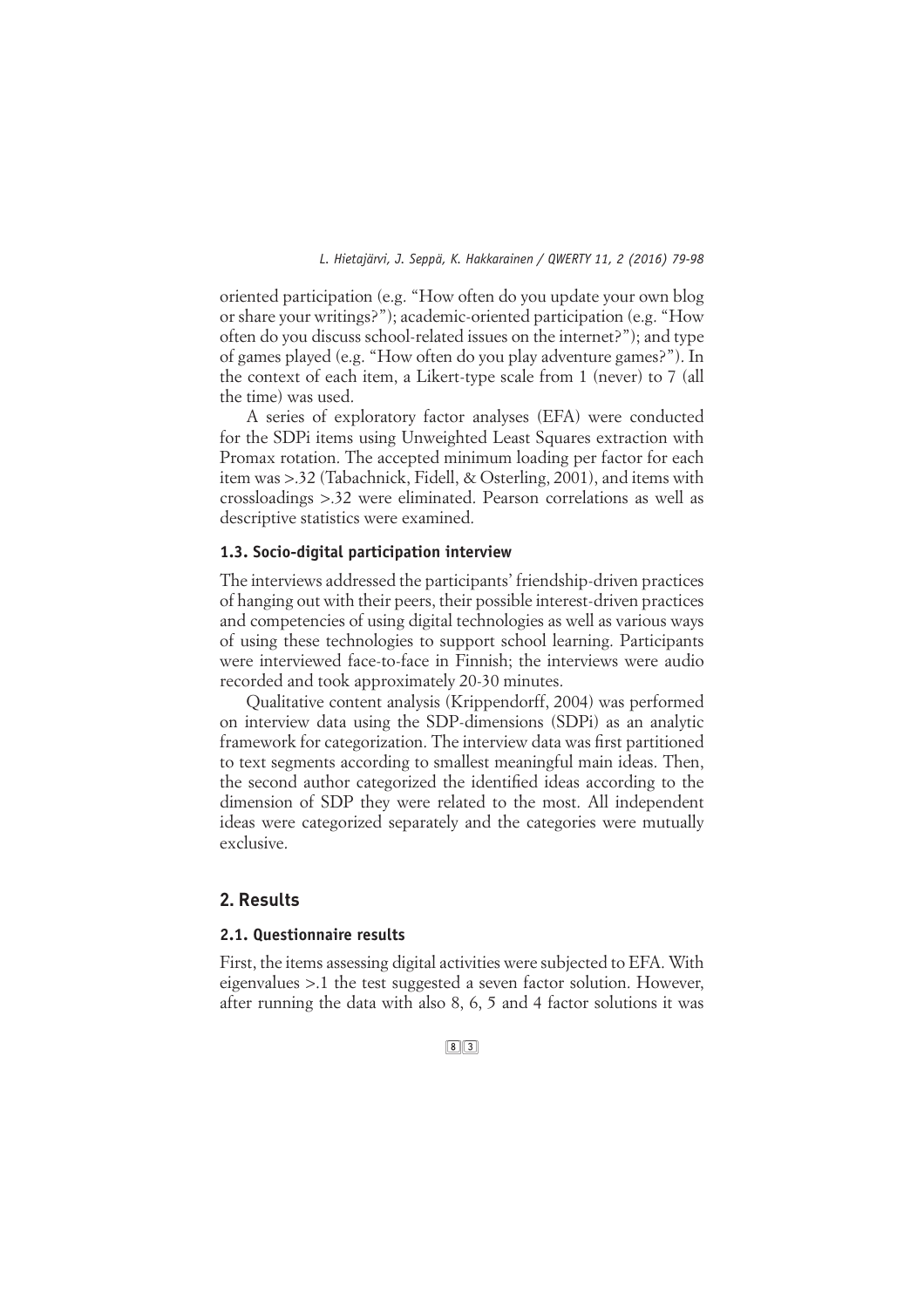oriented participation (e.g. "How often do you update your own blog or share your writings?"); academic-oriented participation (e.g. "How often do you discuss school-related issues on the internet?"); and type of games played (e.g. "How often do you play adventure games?"). In the context of each item, a Likert-type scale from 1 (never) to 7 (all the time) was used.

A series of exploratory factor analyses (EFA) were conducted for the SDPi items using Unweighted Least Squares extraction with Promax rotation. The accepted minimum loading per factor for each item was >.32 (Tabachnick, Fidell, & Osterling, 2001), and items with crossloadings >.32 were eliminated. Pearson correlations as well as descriptive statistics were examined.

#### **1.3. Socio-digital participation interview**

The interviews addressed the participants' friendship-driven practices of hanging out with their peers, their possible interest-driven practices and competencies of using digital technologies as well as various ways of using these technologies to support school learning. Participants were interviewed face-to-face in Finnish; the interviews were audio recorded and took approximately 20-30 minutes.

Qualitative content analysis (Krippendorff, 2004) was performed on interview data using the SDP-dimensions (SDPi) as an analytic framework for categorization. The interview data was first partitioned to text segments according to smallest meaningful main ideas. Then, the second author categorized the identified ideas according to the dimension of SDP they were related to the most. All independent ideas were categorized separately and the categories were mutually exclusive.

# **2. Results**

# **2.1. Questionnaire results**

First, the items assessing digital activities were subjected to EFA. With eigenvalues >.1 the test suggested a seven factor solution. However, after running the data with also 8, 6, 5 and 4 factor solutions it was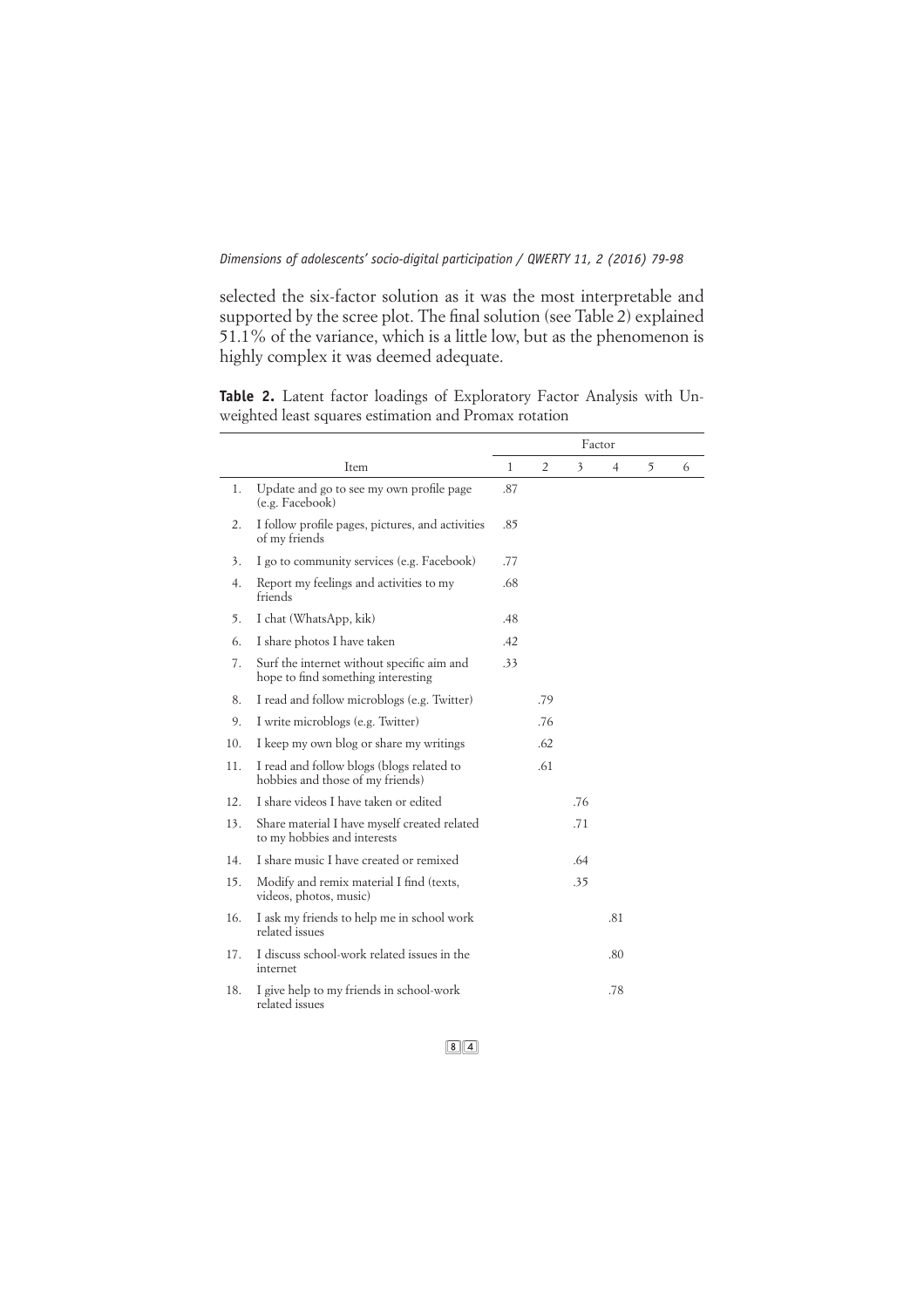selected the six-factor solution as it was the most interpretable and supported by the scree plot. The final solution (see Table 2) explained 51.1% of the variance, which is a little low, but as the phenomenon is highly complex it was deemed adequate.

**Table 2.** Latent factor loadings of Exploratory Factor Analysis with Unweighted least squares estimation and Promax rotation

|     |                                                                                  | Factor |                |     |     |   |   |
|-----|----------------------------------------------------------------------------------|--------|----------------|-----|-----|---|---|
|     | Item                                                                             | 1      | $\overline{2}$ | 3   | 4   | 5 | 6 |
| 1.  | Update and go to see my own profile page<br>(e.g. Facebook)                      | .87    |                |     |     |   |   |
| 2.  | I follow profile pages, pictures, and activities<br>of my friends                | .85    |                |     |     |   |   |
| 3.  | I go to community services (e.g. Facebook)                                       | .77    |                |     |     |   |   |
| 4.  | Report my feelings and activities to my<br>friends                               | .68    |                |     |     |   |   |
| 5.  | I chat (WhatsApp, kik)                                                           | .48    |                |     |     |   |   |
| 6.  | I share photos I have taken                                                      | .42    |                |     |     |   |   |
| 7.  | Surf the internet without specific aim and<br>hope to find something interesting | .33    |                |     |     |   |   |
| 8.  | I read and follow microblogs (e.g. Twitter)                                      |        | .79            |     |     |   |   |
| 9.  | I write microblogs (e.g. Twitter)                                                |        | .76            |     |     |   |   |
| 10. | I keep my own blog or share my writings                                          |        | .62            |     |     |   |   |
| 11. | I read and follow blogs (blogs related to<br>hobbies and those of my friends)    |        | .61            |     |     |   |   |
| 12. | I share videos I have taken or edited                                            |        |                | .76 |     |   |   |
| 13. | Share material I have myself created related<br>to my hobbies and interests      |        |                | .71 |     |   |   |
| 14. | I share music I have created or remixed                                          |        |                | .64 |     |   |   |
| 15. | Modify and remix material I find (texts,<br>videos, photos, music)               |        |                | .35 |     |   |   |
| 16. | I ask my friends to help me in school work<br>related issues                     |        |                |     | .81 |   |   |
| 17. | I discuss school-work related issues in the<br>internet                          |        |                |     | .80 |   |   |
| 18. | I give help to my friends in school-work<br>related issues                       |        |                |     | .78 |   |   |

 $8(4)$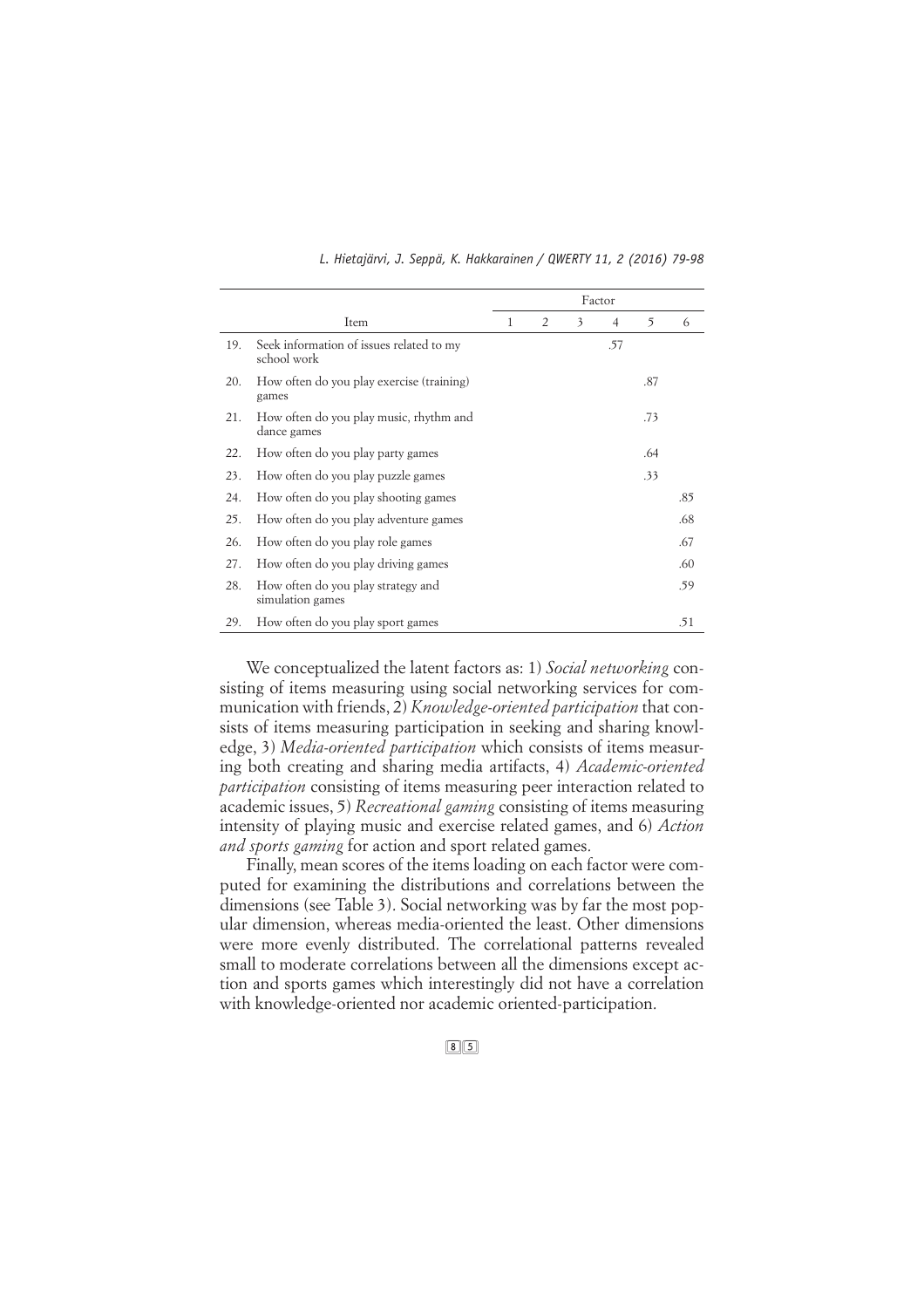|                                           |                                                         |   | Factor         |   |     |     |     |
|-------------------------------------------|---------------------------------------------------------|---|----------------|---|-----|-----|-----|
|                                           | Item                                                    | 1 | $\overline{2}$ | 3 | 4   | 5   | 6   |
| 19.                                       | Seek information of issues related to my<br>school work |   |                |   | .57 |     |     |
| 20.                                       | How often do you play exercise (training)<br>games      |   |                |   |     | .87 |     |
| 21.                                       | How often do you play music, rhythm and<br>dance games  |   |                |   |     | .73 |     |
| 22.                                       | How often do you play party games                       |   |                |   |     | .64 |     |
| How often do you play puzzle games<br>23. |                                                         |   |                |   |     | .33 |     |
| 24.                                       | How often do you play shooting games                    |   |                |   |     |     | .85 |
| 25.                                       | How often do you play adventure games                   |   |                |   |     |     | .68 |
| 26.                                       | How often do you play role games                        |   |                |   |     |     | .67 |
| 27.                                       | How often do you play driving games                     |   |                |   |     |     | .60 |
| 28.                                       | How often do you play strategy and<br>simulation games  |   |                |   |     |     | .59 |
| 29.                                       | How often do you play sport games                       |   |                |   |     |     | .51 |

*L. Hietajärvi, J. Seppä, K. Hakkarainen / QWERTY 11, 2 (2016) 79-98*

We conceptualized the latent factors as: 1) *Social networking* consisting of items measuring using social networking services for communication with friends, 2) *Knowledge-oriented participation* that consists of items measuring participation in seeking and sharing knowledge, 3) *Media-oriented participation* which consists of items measuring both creating and sharing media artifacts, 4) *Academic-oriented participation* consisting of items measuring peer interaction related to academic issues, 5) *Recreational gaming* consisting of items measuring intensity of playing music and exercise related games, and 6) *Action and sports gaming* for action and sport related games.

Finally, mean scores of the items loading on each factor were computed for examining the distributions and correlations between the dimensions (see Table 3). Social networking was by far the most popular dimension, whereas media-oriented the least. Other dimensions were more evenly distributed. The correlational patterns revealed small to moderate correlations between all the dimensions except action and sports games which interestingly did not have a correlation with knowledge-oriented nor academic oriented-participation.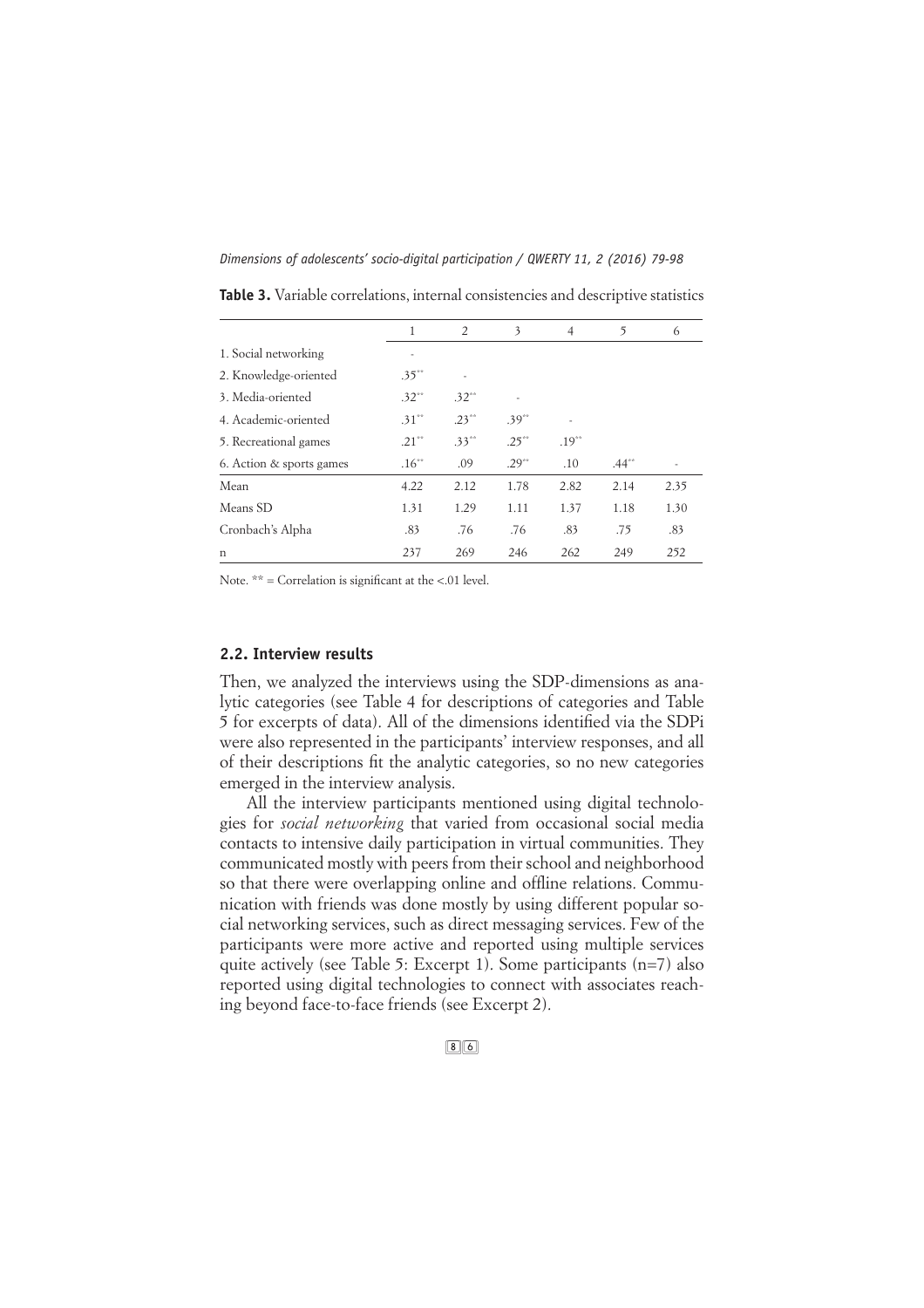*Dimensions of adolescents' socio-digital participation / QWERTY 11, 2 (2016) 79-98*

|                          | 1                        | 2        | 3        | $\overline{4}$ | 5        | 6    |
|--------------------------|--------------------------|----------|----------|----------------|----------|------|
| 1. Social networking     | $\overline{\phantom{m}}$ |          |          |                |          |      |
| 2. Knowledge-oriented    | $.35***$                 | ٠        |          |                |          |      |
| 3. Media-oriented        | $.32***$                 | $.32***$ |          |                |          |      |
| 4. Academic-oriented     | $.31***$                 | $.23***$ | $.39***$ | ÷,             |          |      |
| 5. Recreational games    | $.21***$                 | $.33***$ | $.25***$ | $.19***$       |          |      |
| 6. Action & sports games | $.16***$                 | .09      | $.29***$ | .10            | $.44***$ |      |
| Mean                     | 4.22                     | 2.12     | 1.78     | 2.82           | 2.14     | 2.35 |
| Means SD                 | 1.31                     | 1.29     | 1.11     | 1.37           | 1.18     | 1.30 |
| Cronbach's Alpha         | .83                      | .76      | .76      | .83            | .75      | .83  |
| n                        | 237                      | 269      | 246      | 262            | 249      | 252  |

**Table 3.** Variable correlations, internal consistencies and descriptive statistics

Note.  $**$  = Correlation is significant at the <.01 level.

## **2.2. Interview results**

Then, we analyzed the interviews using the SDP-dimensions as analytic categories (see Table 4 for descriptions of categories and Table 5 for excerpts of data). All of the dimensions identified via the SDPi were also represented in the participants' interview responses, and all of their descriptions fit the analytic categories, so no new categories emerged in the interview analysis.

All the interview participants mentioned using digital technologies for *social networking* that varied from occasional social media contacts to intensive daily participation in virtual communities. They communicated mostly with peers from their school and neighborhood so that there were overlapping online and offline relations. Communication with friends was done mostly by using different popular social networking services, such as direct messaging services. Few of the participants were more active and reported using multiple services quite actively (see Table 5: Excerpt 1). Some participants (n=7) also reported using digital technologies to connect with associates reaching beyond face-to-face friends (see Excerpt 2).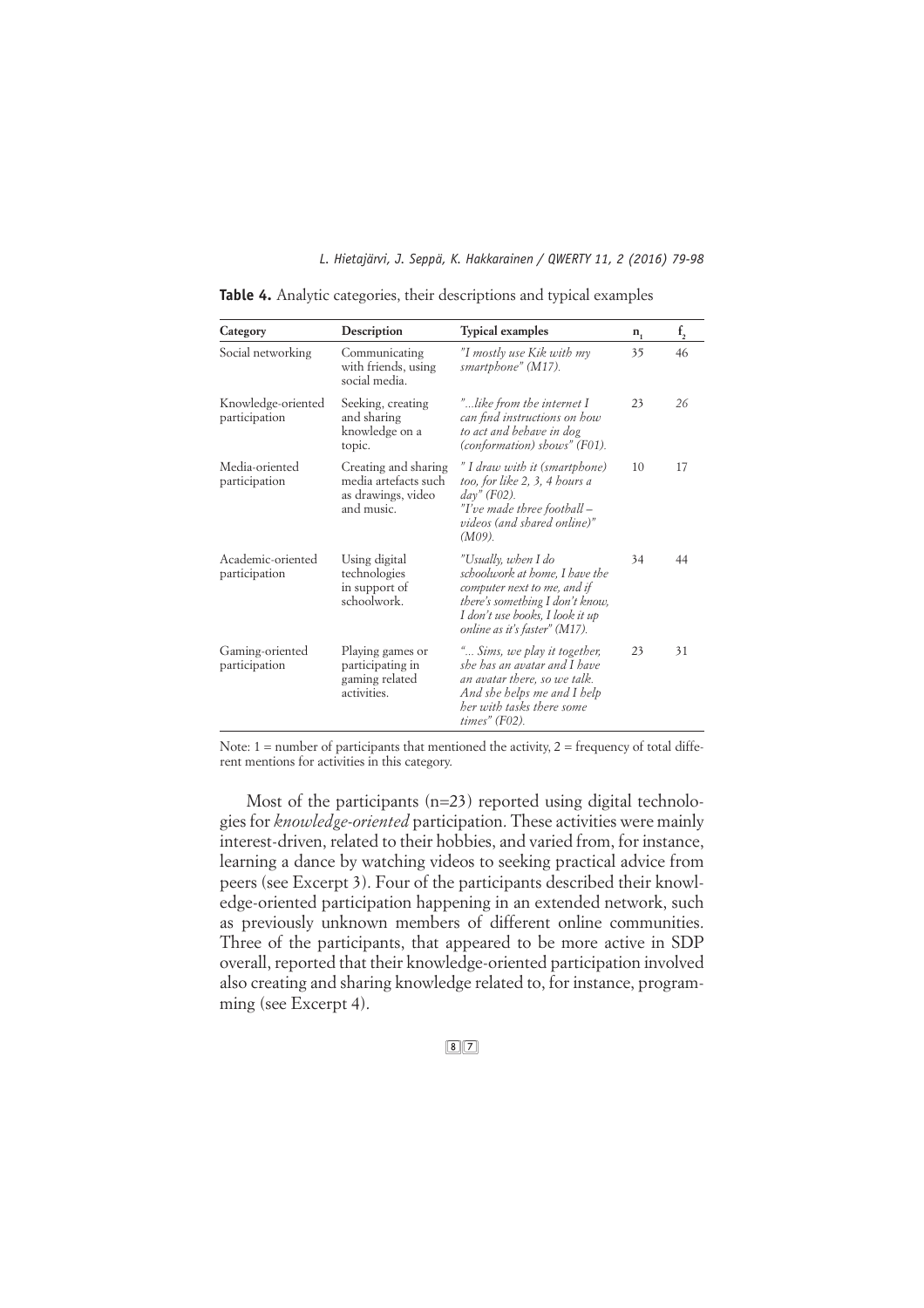| Category                            | Description                                                                      | <b>Typical examples</b>                                                                                                                                                                     | $n_{1}$ | f <sub>2</sub> |
|-------------------------------------|----------------------------------------------------------------------------------|---------------------------------------------------------------------------------------------------------------------------------------------------------------------------------------------|---------|----------------|
| Social networking                   | Communicating<br>with friends, using<br>social media.                            | "I mostly use Kik with my<br>smartphone" (M17).                                                                                                                                             | 35      | 46             |
| Knowledge-oriented<br>participation | Seeking, creating<br>and sharing<br>knowledge on a<br>topic.                     | "like from the internet I<br>can find instructions on how<br>to act and behave in dog<br>(conformation) shows" (F01).                                                                       | 23      | 26             |
| Media-oriented<br>participation     | Creating and sharing<br>media artefacts such<br>as drawings, video<br>and music. | " I draw with it (smartphone)<br>too, for like 2, 3, 4 hours a<br>$day''$ (F02).<br>"I've made three football –<br>videos (and shared online)"<br>$(M09)$ .                                 | 10      | 17             |
| Academic-oriented<br>participation  | Using digital<br>technologies<br>in support of<br>schoolwork.                    | "Usually, when I do<br>schoolwork at home, I have the<br>computer next to me, and if<br>there's something I don't know,<br>I don't use books, I look it up<br>online as it's faster" (M17). | 34      | 44             |
| Gaming-oriented<br>participation    | Playing games or<br>participating in<br>gaming related<br>activities.            | " Sims, we play it together,<br>she has an avatar and I have<br>an avatar there, so we talk.<br>And she helps me and I help<br>ber with tasks there some<br>$times"$ (F02).                 | 23      | 31             |

**Table 4.** Analytic categories, their descriptions and typical examples

Note:  $1 =$  number of participants that mentioned the activity,  $2 =$  frequency of total different mentions for activities in this category.

Most of the participants (n=23) reported using digital technologies for *knowledge-oriented* participation. These activities were mainly interest-driven, related to their hobbies, and varied from, for instance, learning a dance by watching videos to seeking practical advice from peers (see Excerpt 3). Four of the participants described their knowledge-oriented participation happening in an extended network, such as previously unknown members of different online communities. Three of the participants, that appeared to be more active in SDP overall, reported that their knowledge-oriented participation involved also creating and sharing knowledge related to, for instance, programming (see Excerpt 4).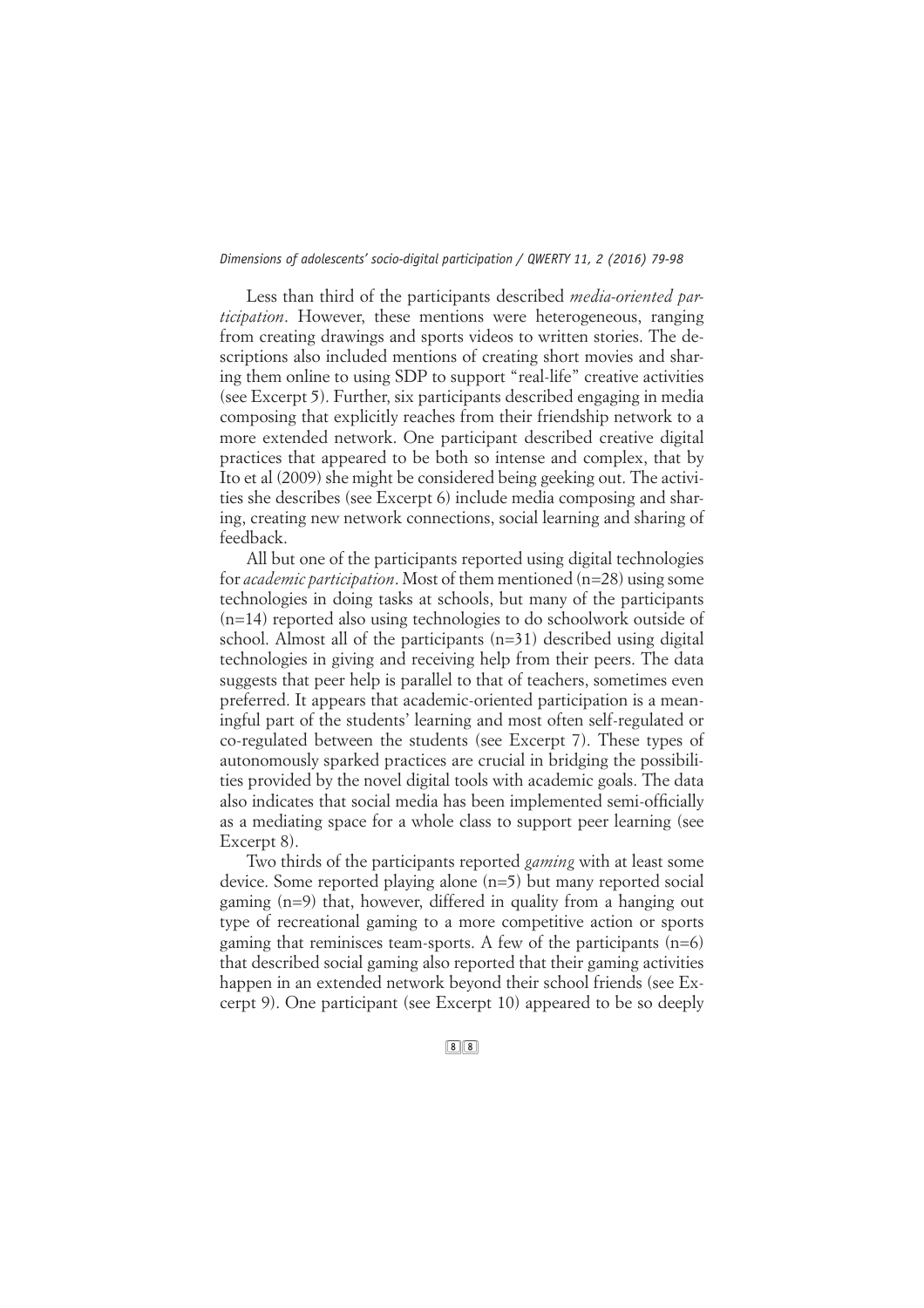Less than third of the participants described *media-oriented participation*. However, these mentions were heterogeneous, ranging from creating drawings and sports videos to written stories. The descriptions also included mentions of creating short movies and sharing them online to using SDP to support "real-life" creative activities (see Excerpt 5). Further, six participants described engaging in media composing that explicitly reaches from their friendship network to a more extended network. One participant described creative digital practices that appeared to be both so intense and complex, that by Ito et al (2009) she might be considered being geeking out. The activities she describes (see Excerpt 6) include media composing and sharing, creating new network connections, social learning and sharing of feedback.

All but one of the participants reported using digital technologies for *academic participation*. Most of them mentioned (n=28) using some technologies in doing tasks at schools, but many of the participants (n=14) reported also using technologies to do schoolwork outside of school. Almost all of the participants (n=31) described using digital technologies in giving and receiving help from their peers. The data suggests that peer help is parallel to that of teachers, sometimes even preferred. It appears that academic-oriented participation is a meaningful part of the students' learning and most often self-regulated or co-regulated between the students (see Excerpt 7). These types of autonomously sparked practices are crucial in bridging the possibilities provided by the novel digital tools with academic goals. The data also indicates that social media has been implemented semi-officially as a mediating space for a whole class to support peer learning (see Excerpt 8).

Two thirds of the participants reported *gaming* with at least some device. Some reported playing alone (n=5) but many reported social gaming (n=9) that, however, differed in quality from a hanging out type of recreational gaming to a more competitive action or sports gaming that reminisces team-sports. A few of the participants  $(n=6)$ that described social gaming also reported that their gaming activities happen in an extended network beyond their school friends (see Excerpt 9). One participant (see Excerpt 10) appeared to be so deeply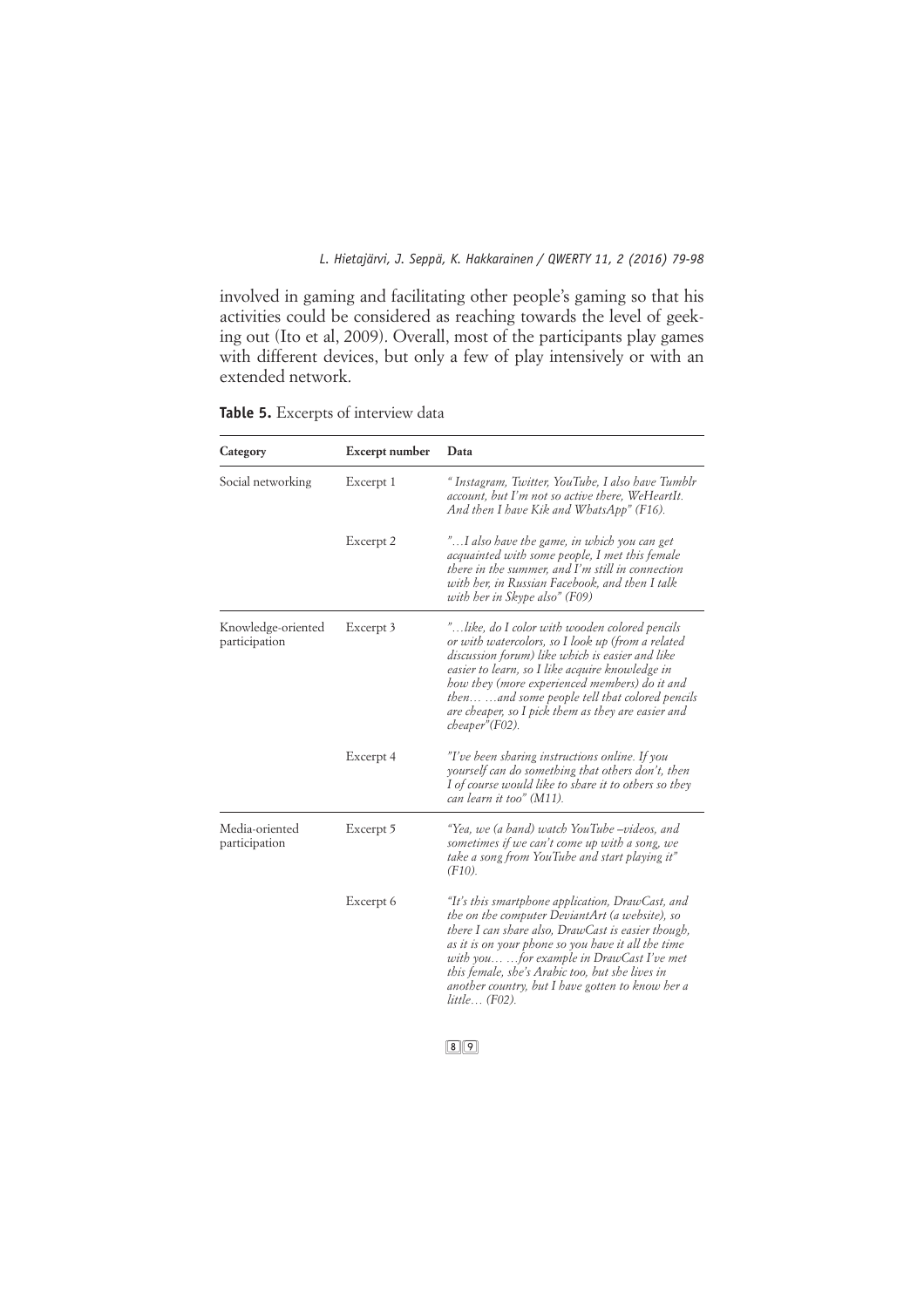involved in gaming and facilitating other people's gaming so that his activities could be considered as reaching towards the level of geeking out (Ito et al, 2009). Overall, most of the participants play games with different devices, but only a few of play intensively or with an extended network.

**Table 5.** Excerpts of interview data

| Category                            | Excerpt number | Data                                                                                                                                                                                                                                                                                                                                                                                     |
|-------------------------------------|----------------|------------------------------------------------------------------------------------------------------------------------------------------------------------------------------------------------------------------------------------------------------------------------------------------------------------------------------------------------------------------------------------------|
| Social networking                   | Excerpt 1      | "Instagram, Twitter, YouTube, I also have Tumblr<br>account, but I'm not so active there, WeHeartIt.<br>And then I have Kik and WhatsApp" (F16).                                                                                                                                                                                                                                         |
|                                     | Excerpt 2      | "I also have the game, in which you can get<br>acquainted with some people, I met this female<br>there in the summer, and I'm still in connection<br>with her, in Russian Facebook, and then I talk<br>with her in Skype also" (F09)                                                                                                                                                     |
| Knowledge-oriented<br>participation | Excerpt 3      | "like, do I color with wooden colored pencils<br>or with watercolors, so I look up (from a related<br>discussion forum) like which is easier and like<br>easier to learn, so I like acquire knowledge in<br>how they (more experienced members) do it and<br>then  and some people tell that colored pencils<br>are cheaper, so I pick them as they are easier and<br>$cheaper''(F02)$ . |
|                                     | Excerpt 4      | "I've been sharing instructions online. If you<br>yourself can do something that others don't, then<br>I of course would like to share it to others so they<br>can learn it too" (M11).                                                                                                                                                                                                  |
| Media-oriented<br>participation     | Excerpt 5      | "Yea, we (a band) watch YouTube –videos, and<br>sometimes if we can't come up with a song, we<br>take a song from YouTube and start playing it"<br>$(F10)$ .                                                                                                                                                                                                                             |
|                                     | Excerpt 6      | "It's this smartphone application, DrawCast, and<br>the on the computer DeviantArt (a website), so<br>there I can share also, DrawCast is easier though,<br>as it is on your phone so you have it all the time<br>with youfor example in DrawCast I've met<br>this female, she's Arabic too, but she lives in<br>another country, but I have gotten to know her a<br>$little$ $(F02)$ .  |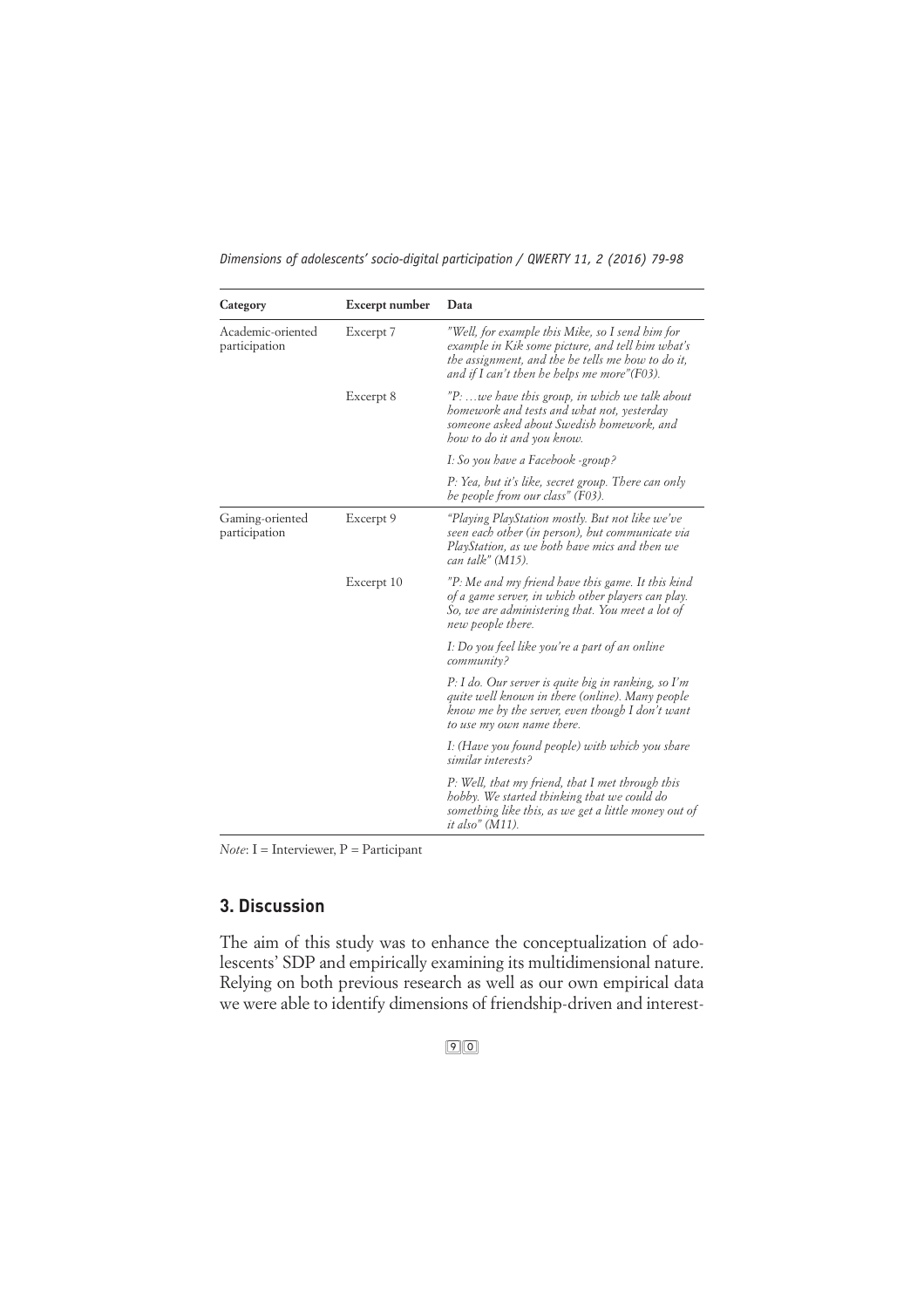| Category                           | Excerpt number | Data                                                                                                                                                                                                     |
|------------------------------------|----------------|----------------------------------------------------------------------------------------------------------------------------------------------------------------------------------------------------------|
| Academic-oriented<br>participation | Excerpt 7      | "Well, for example this Mike, so I send him for<br>example in Kik some picture, and tell him what's<br>the assignment, and the he tells me how to do it,<br>and if I can't then he helps me more" (F03). |
|                                    | Excerpt 8      | "P: we have this group, in which we talk about<br>homework and tests and what not, yesterday<br>someone asked about Swedish homework, and<br>how to do it and you know.                                  |
|                                    |                | I: So you have a Facebook -group?                                                                                                                                                                        |
|                                    |                | P: Yea, but it's like, secret group. There can only<br>be people from our class" (F03).                                                                                                                  |
| Gaming-oriented<br>participation   | Excerpt 9      | "Playing PlayStation mostly. But not like we've<br>seen each other (in person), but communicate via<br>PlayStation, as we both have mics and then we<br>can talk" (M15).                                 |
|                                    | Excerpt 10     | "P: Me and my friend have this game. It this kind<br>of a game server, in which other players can play.<br>So, we are administering that. You meet a lot of<br>new people there.                         |
|                                    |                | I: Do you feel like you're a part of an online<br>community?                                                                                                                                             |
|                                    |                | $P: I$ do. Our server is quite big in ranking, so I'm<br>quite well known in there (online). Many people<br>know me by the server, even though I don't want<br>to use my own name there.                 |
|                                    |                | I: (Have you found people) with which you share<br>similar interests?                                                                                                                                    |
|                                    |                | P: Well, that my friend, that I met through this<br>hobby. We started thinking that we could do<br>something like this, as we get a little money out of<br><i>it also"</i> (M11).                        |

*Note*: I = Interviewer, P = Participant

# **3. Discussion**

The aim of this study was to enhance the conceptualization of adolescents' SDP and empirically examining its multidimensional nature. Relying on both previous research as well as our own empirical data we were able to identify dimensions of friendship-driven and interest-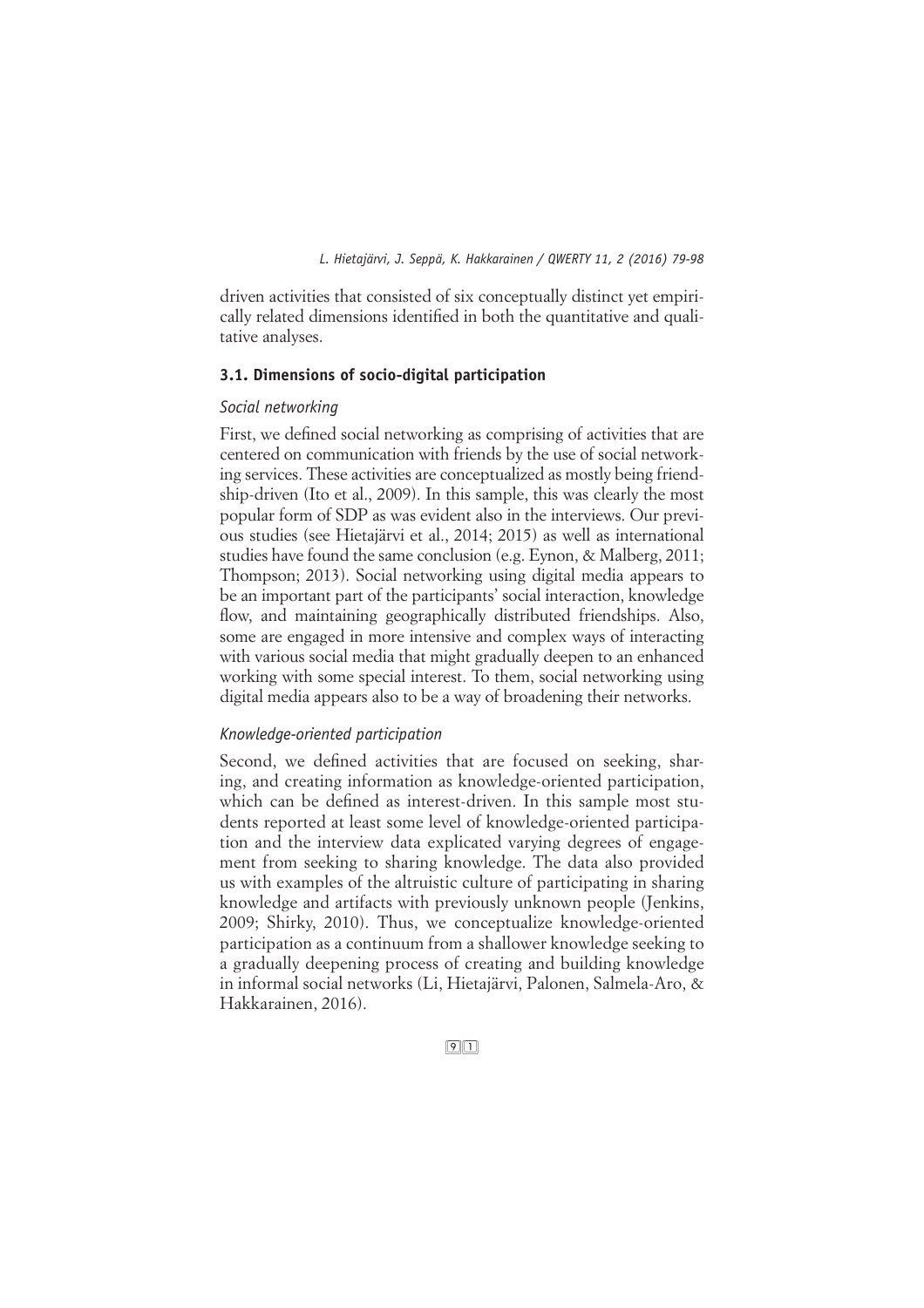driven activities that consisted of six conceptually distinct yet empirically related dimensions identified in both the quantitative and qualitative analyses.

#### **3.1. Dimensions of socio-digital participation**

#### *Social networking*

First, we defined social networking as comprising of activities that are centered on communication with friends by the use of social networking services. These activities are conceptualized as mostly being friendship-driven (Ito et al., 2009). In this sample, this was clearly the most popular form of SDP as was evident also in the interviews. Our previous studies (see Hietajärvi et al., 2014; 2015) as well as international studies have found the same conclusion (e.g. Eynon, & Malberg, 2011; Thompson; 2013). Social networking using digital media appears to be an important part of the participants' social interaction, knowledge flow, and maintaining geographically distributed friendships. Also, some are engaged in more intensive and complex ways of interacting with various social media that might gradually deepen to an enhanced working with some special interest. To them, social networking using digital media appears also to be a way of broadening their networks.

#### *Knowledge-oriented participation*

Second, we defined activities that are focused on seeking, sharing, and creating information as knowledge-oriented participation, which can be defined as interest-driven. In this sample most students reported at least some level of knowledge-oriented participation and the interview data explicated varying degrees of engagement from seeking to sharing knowledge. The data also provided us with examples of the altruistic culture of participating in sharing knowledge and artifacts with previously unknown people (Jenkins, 2009; Shirky, 2010). Thus, we conceptualize knowledge-oriented participation as a continuum from a shallower knowledge seeking to a gradually deepening process of creating and building knowledge in informal social networks (Li, Hietajärvi, Palonen, Salmela-Aro, & Hakkarainen, 2016).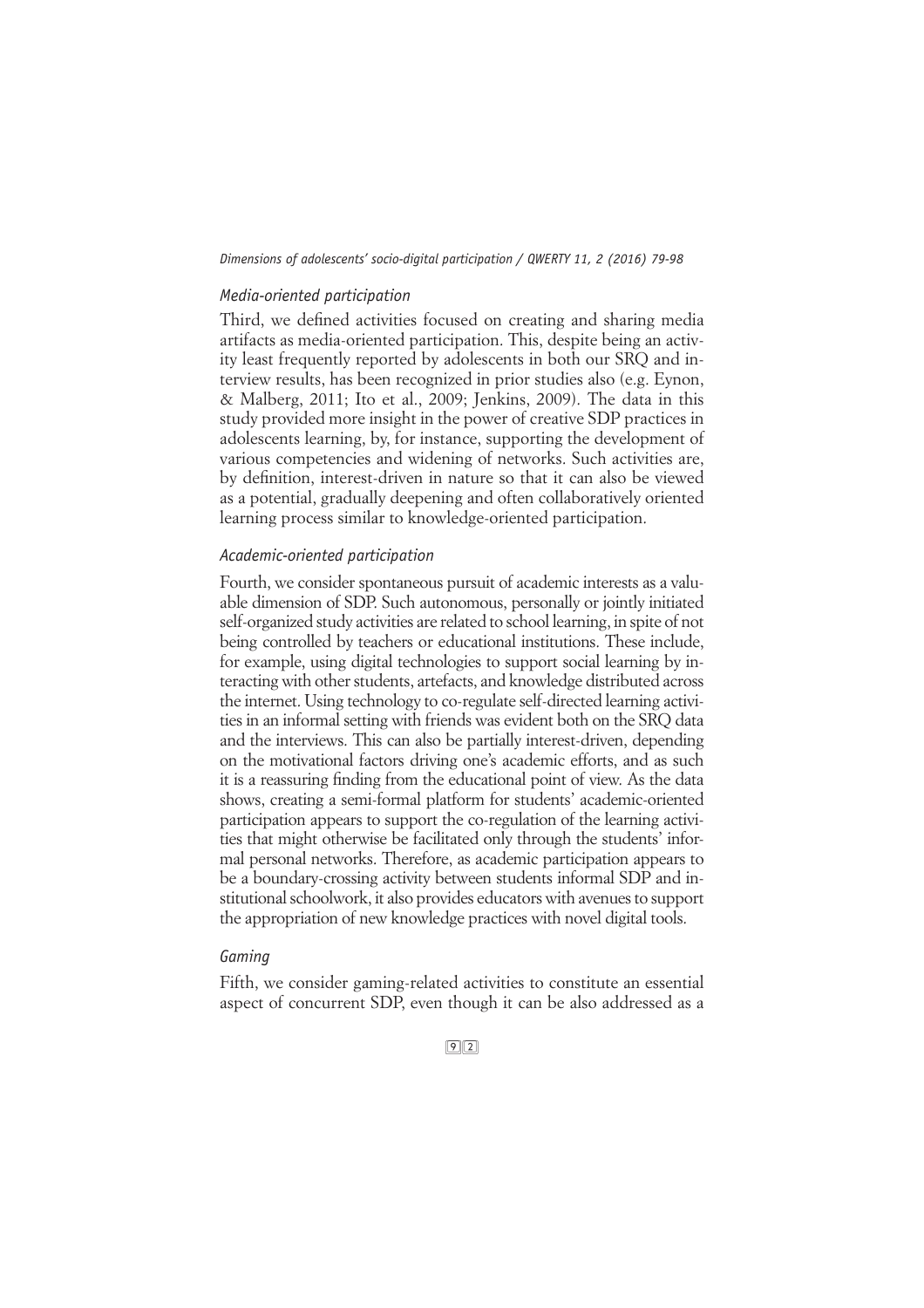#### *Media-oriented participation*

Third, we defined activities focused on creating and sharing media artifacts as media-oriented participation. This, despite being an activity least frequently reported by adolescents in both our SRQ and interview results, has been recognized in prior studies also (e.g. Eynon, & Malberg, 2011; Ito et al., 2009; Jenkins, 2009). The data in this study provided more insight in the power of creative SDP practices in adolescents learning, by, for instance, supporting the development of various competencies and widening of networks. Such activities are, by definition, interest-driven in nature so that it can also be viewed as a potential, gradually deepening and often collaboratively oriented learning process similar to knowledge-oriented participation.

# *Academic-oriented participation*

Fourth, we consider spontaneous pursuit of academic interests as a valuable dimension of SDP. Such autonomous, personally or jointly initiated self-organized study activities are related to school learning, in spite of not being controlled by teachers or educational institutions. These include, for example, using digital technologies to support social learning by interacting with other students, artefacts, and knowledge distributed across the internet. Using technology to co-regulate self-directed learning activities in an informal setting with friends was evident both on the SRQ data and the interviews. This can also be partially interest-driven, depending on the motivational factors driving one's academic efforts, and as such it is a reassuring finding from the educational point of view. As the data shows, creating a semi-formal platform for students' academic-oriented participation appears to support the co-regulation of the learning activities that might otherwise be facilitated only through the students' informal personal networks. Therefore, as academic participation appears to be a boundary-crossing activity between students informal SDP and institutional schoolwork, it also provides educators with avenues to support the appropriation of new knowledge practices with novel digital tools.

## *Gaming*

Fifth, we consider gaming-related activities to constitute an essential aspect of concurrent SDP, even though it can be also addressed as a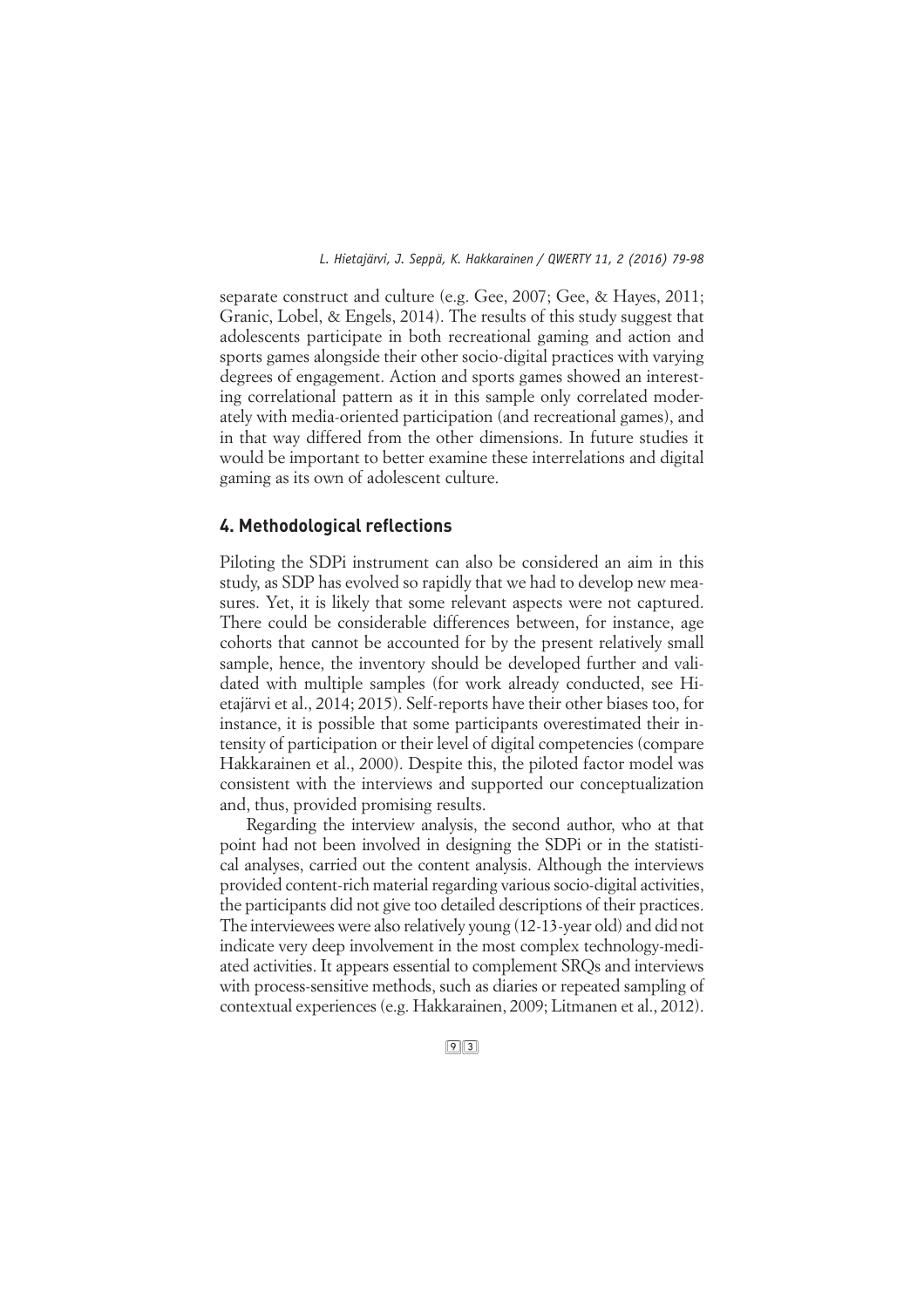separate construct and culture (e.g. Gee, 2007; Gee, & Hayes, 2011; Granic, Lobel, & Engels, 2014). The results of this study suggest that adolescents participate in both recreational gaming and action and sports games alongside their other socio-digital practices with varying degrees of engagement. Action and sports games showed an interesting correlational pattern as it in this sample only correlated moderately with media-oriented participation (and recreational games), and in that way differed from the other dimensions. In future studies it would be important to better examine these interrelations and digital gaming as its own of adolescent culture.

# **4. Methodological reflections**

Piloting the SDPi instrument can also be considered an aim in this study, as SDP has evolved so rapidly that we had to develop new measures. Yet, it is likely that some relevant aspects were not captured. There could be considerable differences between, for instance, age cohorts that cannot be accounted for by the present relatively small sample, hence, the inventory should be developed further and validated with multiple samples (for work already conducted, see Hietajärvi et al., 2014; 2015). Self-reports have their other biases too, for instance, it is possible that some participants overestimated their intensity of participation or their level of digital competencies (compare Hakkarainen et al., 2000). Despite this, the piloted factor model was consistent with the interviews and supported our conceptualization and, thus, provided promising results.

Regarding the interview analysis, the second author, who at that point had not been involved in designing the SDPi or in the statistical analyses, carried out the content analysis. Although the interviews provided content-rich material regarding various socio-digital activities, the participants did not give too detailed descriptions of their practices. The interviewees were also relatively young (12-13-year old) and did not indicate very deep involvement in the most complex technology-mediated activities. It appears essential to complement SRQs and interviews with process-sensitive methods, such as diaries or repeated sampling of contextual experiences (e.g. Hakkarainen, 2009; Litmanen et al., 2012).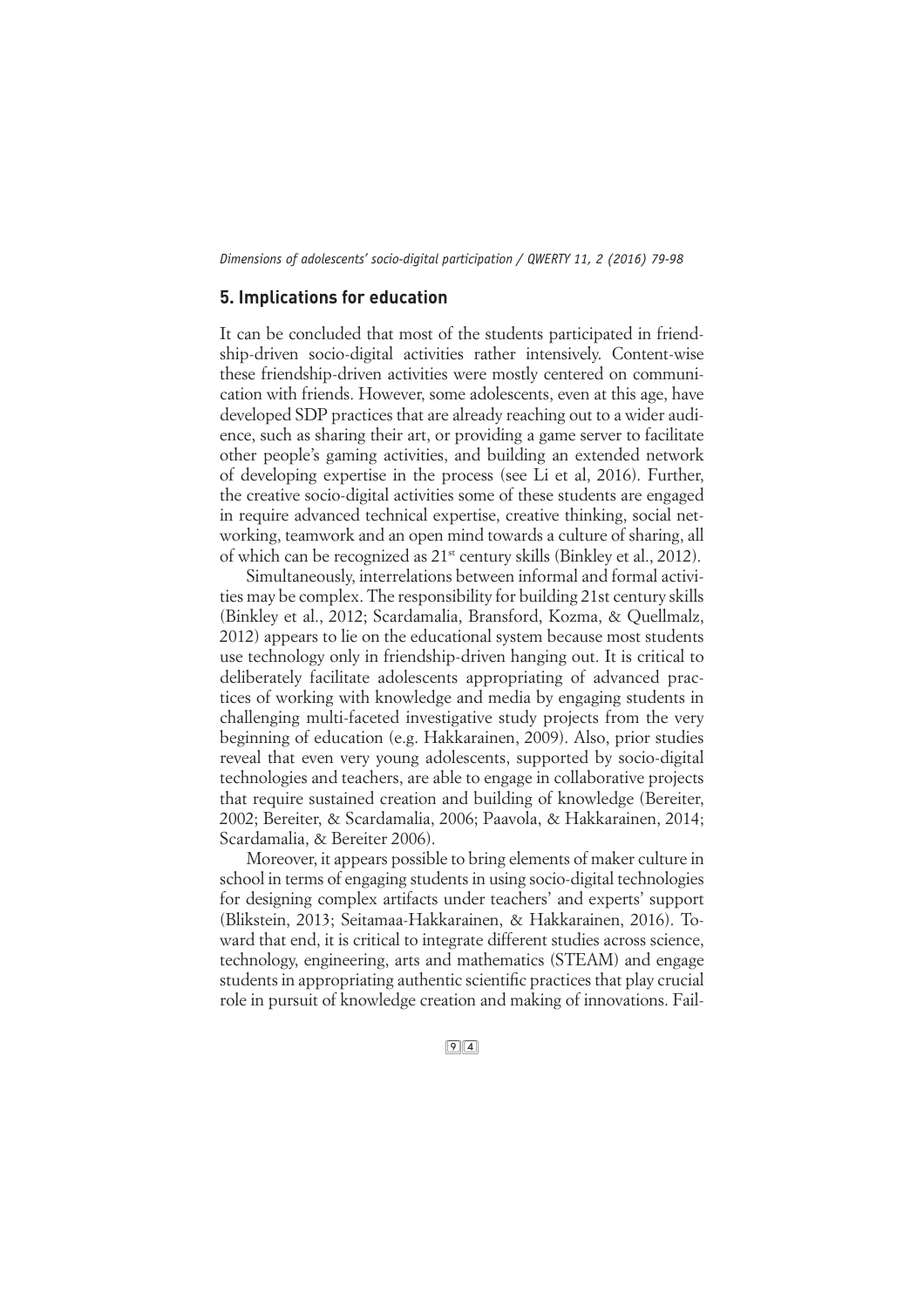# **5. Implications for education**

It can be concluded that most of the students participated in friendship-driven socio-digital activities rather intensively. Content-wise these friendship-driven activities were mostly centered on communication with friends. However, some adolescents, even at this age, have developed SDP practices that are already reaching out to a wider audience, such as sharing their art, or providing a game server to facilitate other people's gaming activities, and building an extended network of developing expertise in the process (see Li et al, 2016). Further, the creative socio-digital activities some of these students are engaged in require advanced technical expertise, creative thinking, social networking, teamwork and an open mind towards a culture of sharing, all of which can be recognized as 21st century skills (Binkley et al., 2012).

Simultaneously, interrelations between informal and formal activities may be complex. The responsibility for building 21st century skills (Binkley et al., 2012; Scardamalia, Bransford, Kozma, & Quellmalz, 2012) appears to lie on the educational system because most students use technology only in friendship-driven hanging out. It is critical to deliberately facilitate adolescents appropriating of advanced practices of working with knowledge and media by engaging students in challenging multi-faceted investigative study projects from the very beginning of education (e.g. Hakkarainen, 2009). Also, prior studies reveal that even very young adolescents, supported by socio-digital technologies and teachers, are able to engage in collaborative projects that require sustained creation and building of knowledge (Bereiter, 2002; Bereiter, & Scardamalia, 2006; Paavola, & Hakkarainen, 2014; Scardamalia, & Bereiter 2006).

Moreover, it appears possible to bring elements of maker culture in school in terms of engaging students in using socio-digital technologies for designing complex artifacts under teachers' and experts' support (Blikstein, 2013; Seitamaa-Hakkarainen, & Hakkarainen, 2016). Toward that end, it is critical to integrate different studies across science, technology, engineering, arts and mathematics (STEAM) and engage students in appropriating authentic scientific practices that play crucial role in pursuit of knowledge creation and making of innovations. Fail-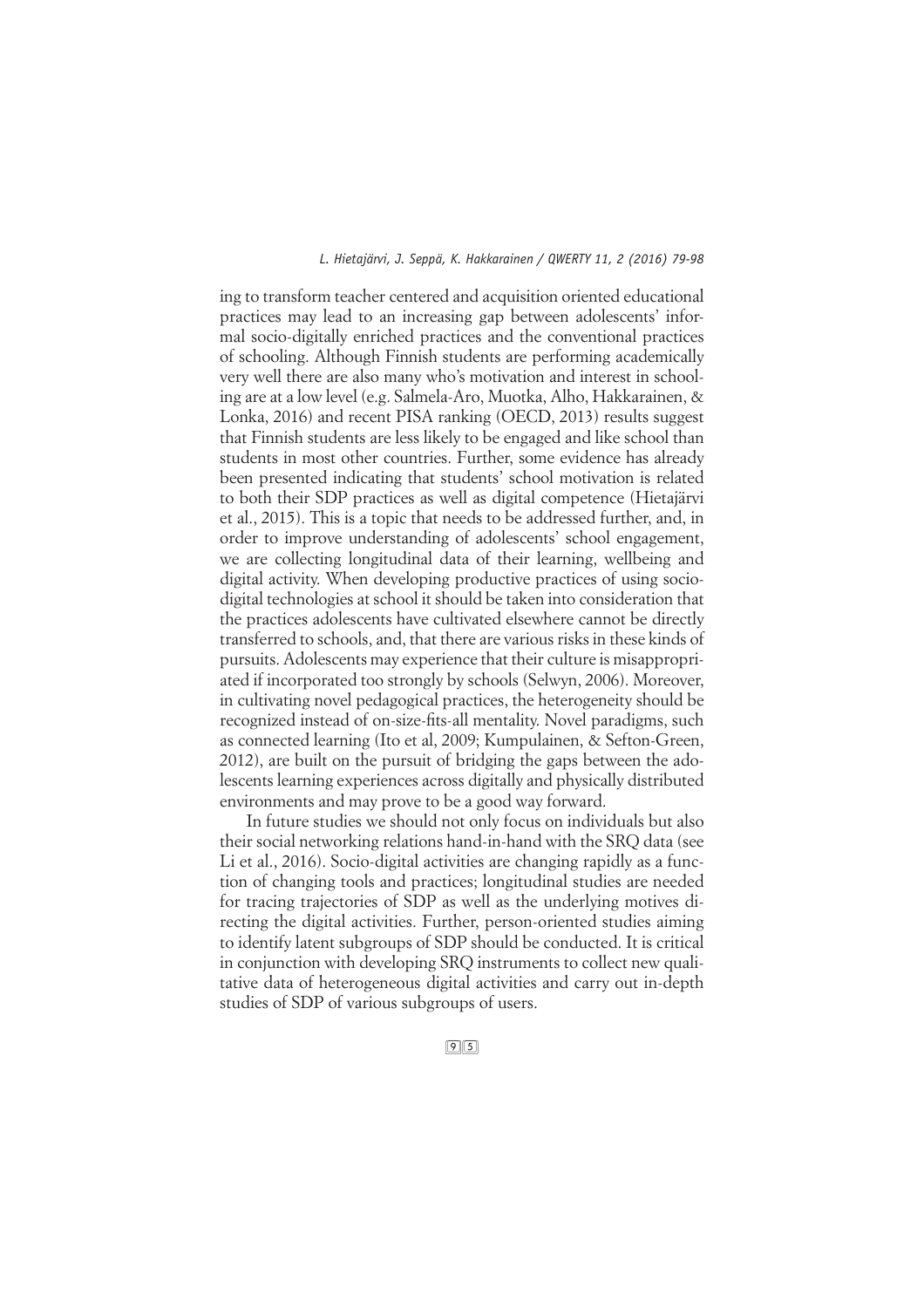ing to transform teacher centered and acquisition oriented educational practices may lead to an increasing gap between adolescents' informal socio-digitally enriched practices and the conventional practices of schooling. Although Finnish students are performing academically very well there are also many who's motivation and interest in schooling are at a low level (e.g. Salmela-Aro, Muotka, Alho, Hakkarainen, & Lonka, 2016) and recent PISA ranking (OECD, 2013) results suggest that Finnish students are less likely to be engaged and like school than students in most other countries. Further, some evidence has already been presented indicating that students' school motivation is related to both their SDP practices as well as digital competence (Hietajärvi et al., 2015). This is a topic that needs to be addressed further, and, in order to improve understanding of adolescents' school engagement, we are collecting longitudinal data of their learning, wellbeing and digital activity. When developing productive practices of using sociodigital technologies at school it should be taken into consideration that the practices adolescents have cultivated elsewhere cannot be directly transferred to schools, and, that there are various risks in these kinds of pursuits. Adolescents may experience that their culture is misappropriated if incorporated too strongly by schools (Selwyn, 2006). Moreover, in cultivating novel pedagogical practices, the heterogeneity should be recognized instead of on-size-fits-all mentality. Novel paradigms, such as connected learning (Ito et al, 2009; Kumpulainen, & Sefton-Green, 2012), are built on the pursuit of bridging the gaps between the adolescents learning experiences across digitally and physically distributed environments and may prove to be a good way forward.

In future studies we should not only focus on individuals but also their social networking relations hand-in-hand with the SRQ data (see Li et al., 2016). Socio-digital activities are changing rapidly as a function of changing tools and practices; longitudinal studies are needed for tracing trajectories of SDP as well as the underlying motives directing the digital activities. Further, person-oriented studies aiming to identify latent subgroups of SDP should be conducted. It is critical in conjunction with developing SRQ instruments to collect new qualitative data of heterogeneous digital activities and carry out in-depth studies of SDP of various subgroups of users.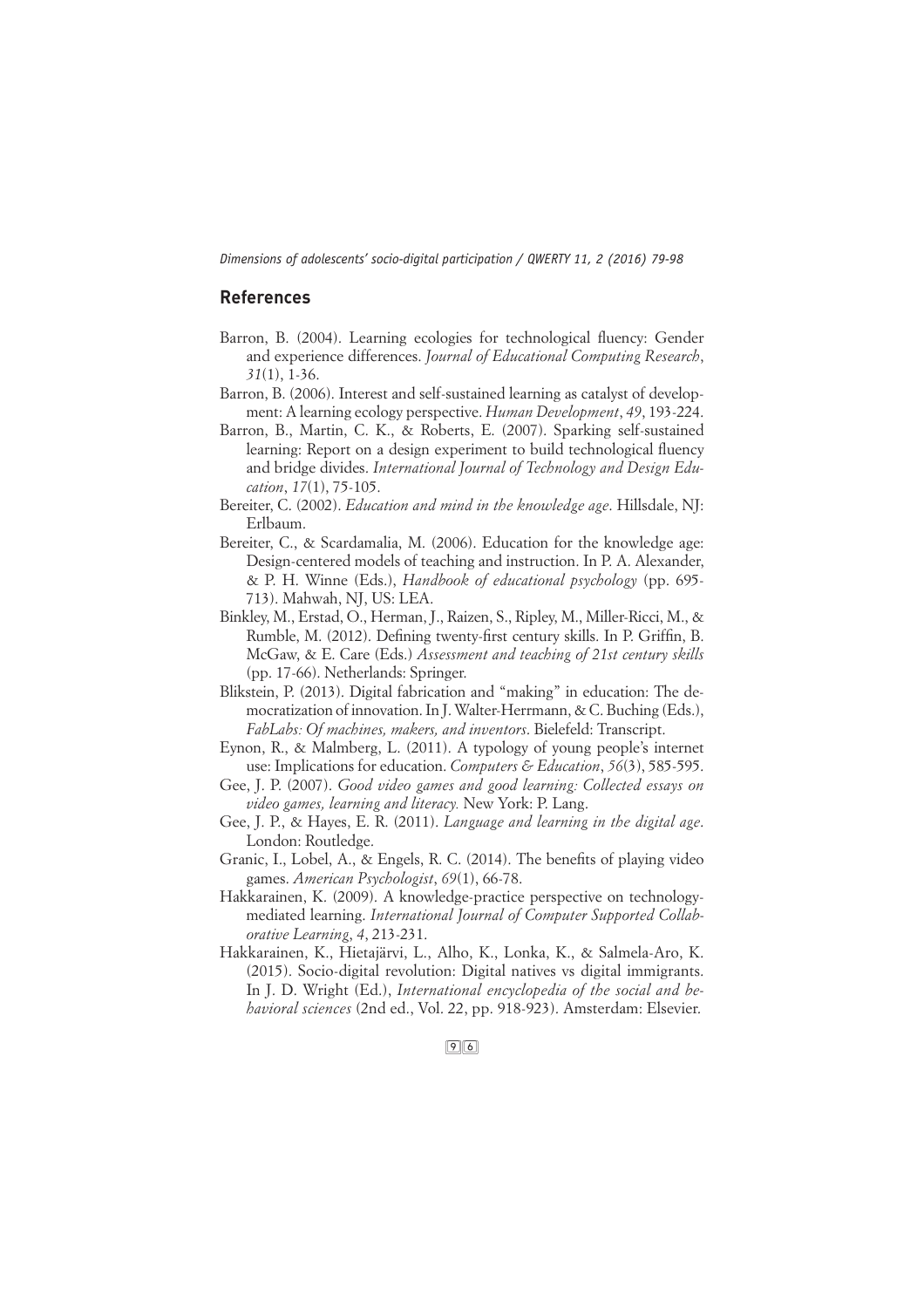# **References**

- Barron, B. (2004). Learning ecologies for technological fluency: Gender and experience differences. *Journal of Educational Computing Research*, *31*(1), 1-36.
- Barron, B. (2006). Interest and self-sustained learning as catalyst of development: A learning ecology perspective. *Human Development*, *49*, 193-224.
- Barron, B., Martin, C. K., & Roberts, E. (2007). Sparking self-sustained learning: Report on a design experiment to build technological fluency and bridge divides. *International Journal of Technology and Design Education*, *17*(1), 75-105.
- Bereiter, C. (2002). *Education and mind in the knowledge age*. Hillsdale, NJ: Erlbaum.
- Bereiter, C., & Scardamalia, M. (2006). Education for the knowledge age: Design-centered models of teaching and instruction. In P. A. Alexander, & P. H. Winne (Eds.), *Handbook of educational psychology* (pp. 695- 713). Mahwah, NJ, US: LEA.
- Binkley, M., Erstad, O., Herman, J., Raizen, S., Ripley, M., Miller-Ricci, M., & Rumble, M. (2012). Defining twenty-first century skills. In P. Griffin, B. McGaw, & E. Care (Eds.) *Assessment and teaching of 21st century skills* (pp. 17-66). Netherlands: Springer.
- Blikstein, P. (2013). Digital fabrication and "making" in education: The democratization of innovation. In J. Walter-Herrmann, & C. Buching (Eds.), *FabLabs: Of machines, makers, and inventors*. Bielefeld: Transcript.
- Eynon, R., & Malmberg, L. (2011). A typology of young people's internet use: Implications for education. *Computers & Education*, *56*(3), 585-595.
- Gee, J. P. (2007). *Good video games and good learning: Collected essays on video games, learning and literacy.* New York: P. Lang.
- Gee, J. P., & Hayes, E. R. (2011). *Language and learning in the digital age*. London: Routledge.
- Granic, I., Lobel, A., & Engels, R. C. (2014). The benefits of playing video games. *American Psychologist*, *69*(1), 66-78.
- Hakkarainen, K. (2009). A knowledge-practice perspective on technologymediated learning. *International Journal of Computer Supported Collaborative Learning*, *4*, 213-231.
- Hakkarainen, K., Hietajärvi, L., Alho, K., Lonka, K., & Salmela-Aro, K. (2015). Socio-digital revolution: Digital natives vs digital immigrants. In J. D. Wright (Ed.), *International encyclopedia of the social and behavioral sciences* (2nd ed., Vol. 22, pp. 918-923). Amsterdam: Elsevier.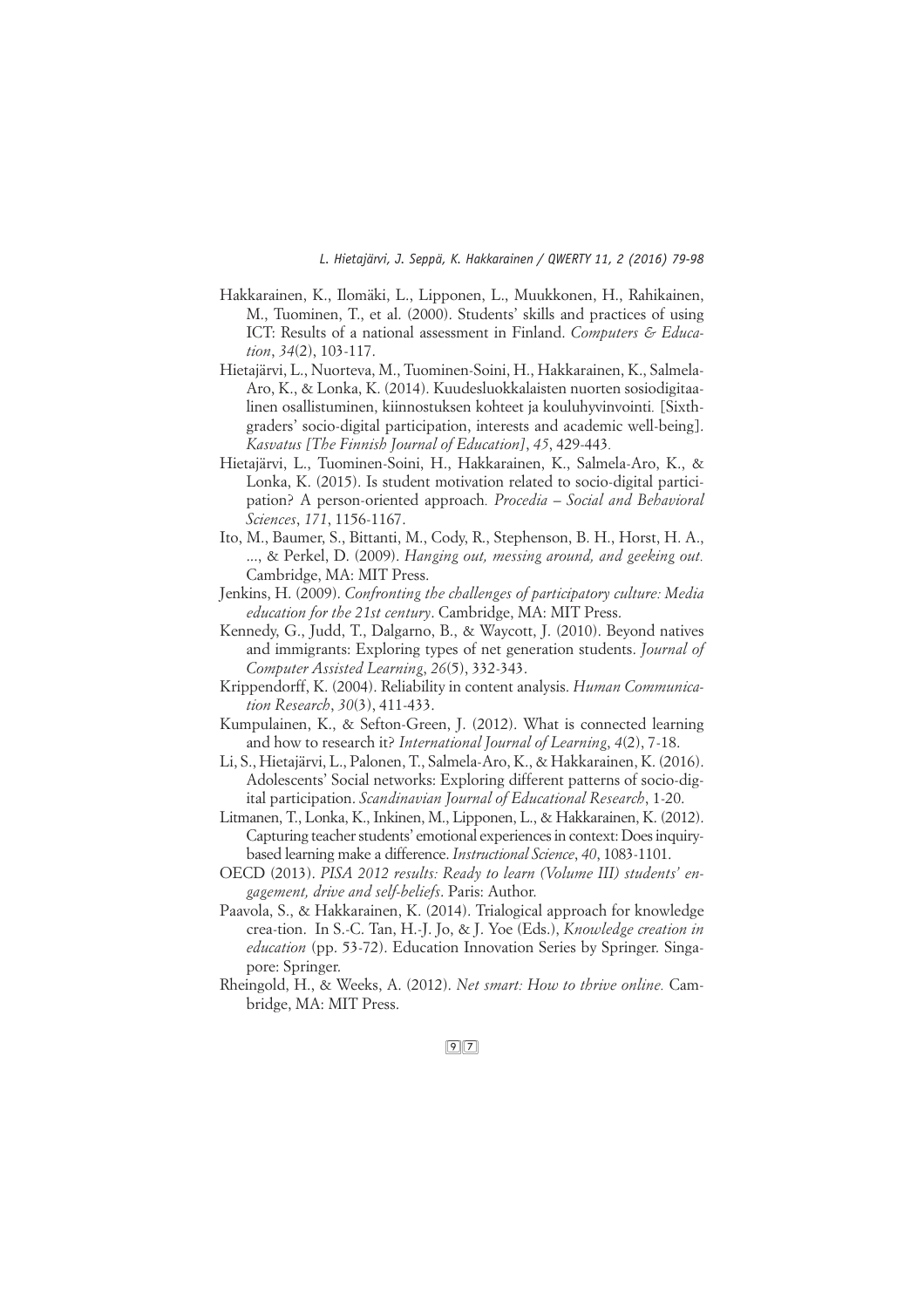- Hakkarainen, K., Ilomäki, L., Lipponen, L., Muukkonen, H., Rahikainen, M., Tuominen, T., et al. (2000). Students' skills and practices of using ICT: Results of a national assessment in Finland. *Computers & Education*, *34*(2), 103-117.
- Hietajärvi, L., Nuorteva, M., Tuominen-Soini, H., Hakkarainen, K., Salmela-Aro, K., & Lonka, K. (2014). Kuudesluokkalaisten nuorten sosiodigitaalinen osallistuminen, kiinnostuksen kohteet ja kouluhyvinvointi*.* [Sixthgraders' socio-digital participation, interests and academic well-being]. *Kasvatus [The Finnish Journal of Education]*, *45*, 429-443*.*
- Hietajärvi, L., Tuominen-Soini, H., Hakkarainen, K., Salmela-Aro, K., & Lonka, K. (2015). Is student motivation related to socio-digital participation? A person-oriented approach*. Procedia – Social and Behavioral Sciences*, *171*, 1156-1167.
- Ito, M., Baumer, S., Bittanti, M., Cody, R., Stephenson, B. H., Horst, H. A., ..., & Perkel, D. (2009). *Hanging out, messing around, and geeking out.* Cambridge, MA: MIT Press.
- Jenkins, H. (2009). *Confronting the challenges of participatory culture: Media education for the 21st century*. Cambridge, MA: MIT Press.
- Kennedy, G., Judd, T., Dalgarno, B., & Waycott, J. (2010). Beyond natives and immigrants: Exploring types of net generation students. *Journal of Computer Assisted Learning*, *26*(5), 332-343.
- Krippendorff, K. (2004). Reliability in content analysis. *Human Communication Research*, *30*(3), 411-433.
- Kumpulainen, K., & Sefton-Green, J. (2012). What is connected learning and how to research it? *International Journal of Learning*, *4*(2), 7-18.
- Li, S., Hietajärvi, L., Palonen, T., Salmela-Aro, K., & Hakkarainen, K. (2016). Adolescents' Social networks: Exploring different patterns of socio-digital participation. *Scandinavian Journal of Educational Research*, 1-20.
- Litmanen, T., Lonka, K., Inkinen, M., Lipponen, L., & Hakkarainen, K. (2012). Capturing teacher students' emotional experiences in context: Does inquirybased learning make a difference. *Instructional Science*, *40*, 1083-1101.
- OECD (2013). *PISA 2012 results: Ready to learn (Volume III) students' engagement, drive and self-beliefs*. Paris: Author.
- Paavola, S., & Hakkarainen, K. (2014). Trialogical approach for knowledge crea-tion. In S.-C. Tan, H.-J. Jo, & J. Yoe (Eds.), *Knowledge creation in education* (pp. 53-72). Education Innovation Series by Springer. Singapore: Springer.
- Rheingold, H., & Weeks, A. (2012). *Net smart: How to thrive online.* Cambridge, MA: MIT Press.